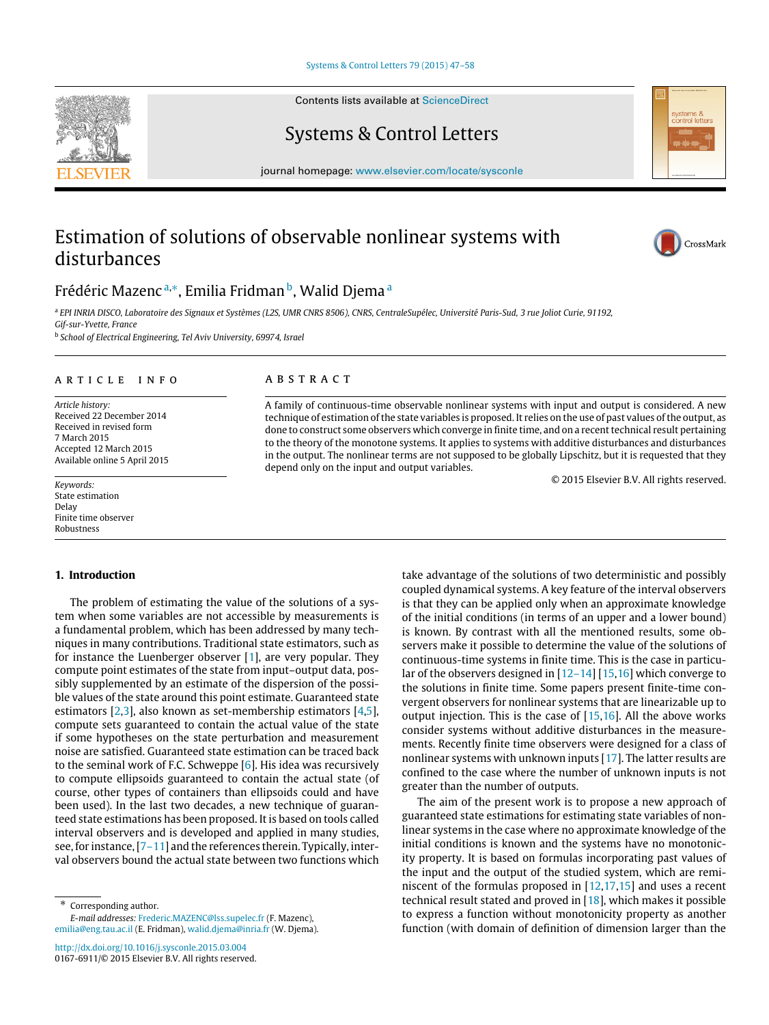[Systems & Control Letters 79 \(2015\) 47–58](http://dx.doi.org/10.1016/j.sysconle.2015.03.004)

Contents lists available at [ScienceDirect](http://www.elsevier.com/locate/sysconle)

Systems & Control Letters

journal homepage: [www.elsevier.com/locate/sysconle](http://www.elsevier.com/locate/sysconle)

# Estimation of solutions of observable nonlinear systems with disturbances



<span id="page-0-0"></span>a *EPI INRIA DISCO, Laboratoire des Signaux et Systèmes (L2S, UMR CNRS 8506), CNRS, CentraleSupélec, Université Paris-Sud, 3 rue Joliot Curie, 91192, Gif-sur-Yvette, France*

<span id="page-0-2"></span>b *School of Electrical Engineering, Tel Aviv University, 69974, Israel*

# a r t i c l e i n f o

*Article history:* Received 22 December 2014 Received in revised form 7 March 2015 Accepted 12 March 2015 Available online 5 April 2015

*Keywords:* State estimation Delay Finite time observer Robustness

# **1. Introduction**

The problem of estimating the value of the solutions of a system when some variables are not accessible by measurements is a fundamental problem, which has been addressed by many techniques in many contributions. Traditional state estimators, such as for instance the Luenberger observer [\[1\]](#page-10-0), are very popular. They compute point estimates of the state from input–output data, possibly supplemented by an estimate of the dispersion of the possible values of the state around this point estimate. Guaranteed state estimators [\[2](#page-10-1)[,3\]](#page-10-2), also known as set-membership estimators [\[4,](#page-10-3)[5\]](#page-10-4), compute sets guaranteed to contain the actual value of the state if some hypotheses on the state perturbation and measurement noise are satisfied. Guaranteed state estimation can be traced back to the seminal work of F.C. Schweppe [\[6\]](#page-10-5). His idea was recursively to compute ellipsoids guaranteed to contain the actual state (of course, other types of containers than ellipsoids could and have been used). In the last two decades, a new technique of guaranteed state estimations has been proposed. It is based on tools called interval observers and is developed and applied in many studies, see, for instance, [\[7–11\]](#page-10-6) and the references therein. Typically, interval observers bound the actual state between two functions which

<span id="page-0-1"></span>Corresponding author. *E-mail addresses:* [Frederic.MAZENC@lss.supelec.fr](mailto:Frederic.MAZENC@lss.supelec.fr) (F. Mazenc), [emilia@eng.tau.ac.il](mailto:emilia@eng.tau.ac.il) (E. Fridman), [walid.djema@inria.fr](mailto:walid.djema@inria.fr) (W. Djema).

## A B S T R A C T

A family of continuous-time observable nonlinear systems with input and output is considered. A new technique of estimation of the state variables is proposed. It relies on the use of past values of the output, as done to construct some observers which converge in finite time, and on a recent technical result pertaining to the theory of the monotone systems. It applies to systems with additive disturbances and disturbances in the output. The nonlinear terms are not supposed to be globally Lipschitz, but it is requested that they depend only on the input and output variables.

© 2015 Elsevier B.V. All rights reserved.

take advantage of the solutions of two deterministic and possibly coupled dynamical systems. A key feature of the interval observers is that they can be applied only when an approximate knowledge of the initial conditions (in terms of an upper and a lower bound) is known. By contrast with all the mentioned results, some observers make it possible to determine the value of the solutions of continuous-time systems in finite time. This is the case in particular of the observers designed in [\[12–14\]](#page-11-0) [\[15](#page-11-1)[,16\]](#page-11-2) which converge to the solutions in finite time. Some papers present finite-time convergent observers for nonlinear systems that are linearizable up to output injection. This is the case of [\[15,](#page-11-1)[16\]](#page-11-2). All the above works consider systems without additive disturbances in the measurements. Recently finite time observers were designed for a class of nonlinear systems with unknown inputs [\[17\]](#page-11-3). The latter results are confined to the case where the number of unknown inputs is not greater than the number of outputs.

The aim of the present work is to propose a new approach of guaranteed state estimations for estimating state variables of nonlinear systems in the case where no approximate knowledge of the initial conditions is known and the systems have no monotonicity property. It is based on formulas incorporating past values of the input and the output of the studied system, which are reminiscent of the formulas proposed in [\[12,](#page-11-0)[17](#page-11-3)[,15\]](#page-11-1) and uses a recent technical result stated and proved in  $[18]$ , which makes it possible to express a function without monotonicity property as another function (with domain of definition of dimension larger than the





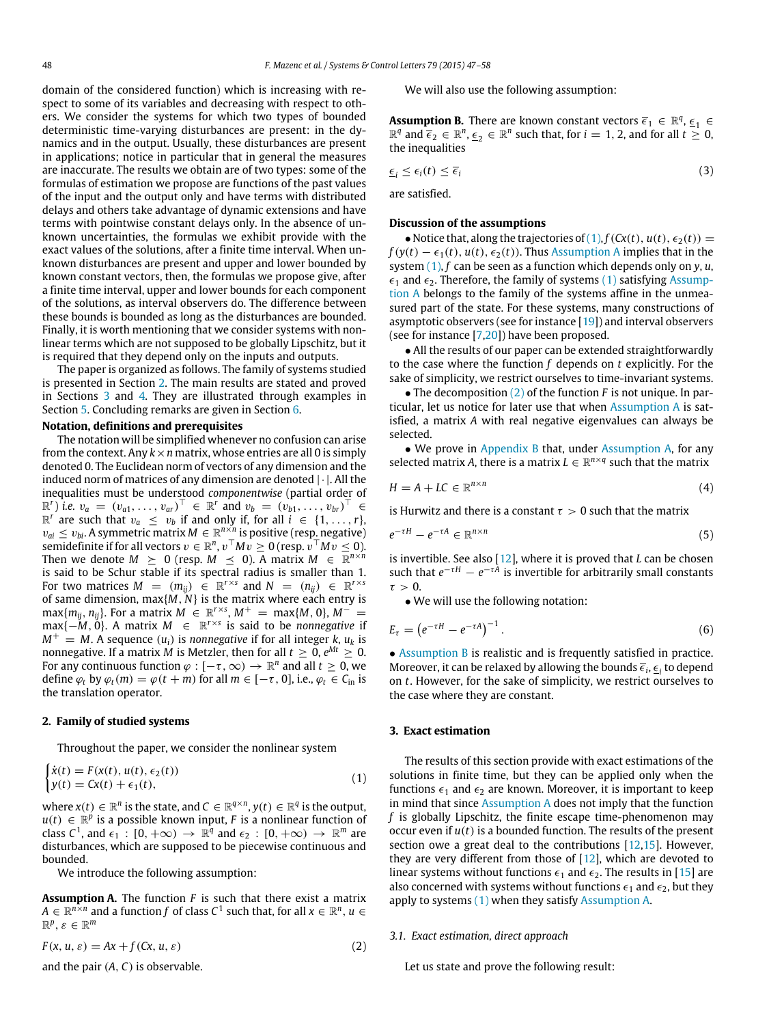domain of the considered function) which is increasing with respect to some of its variables and decreasing with respect to others. We consider the systems for which two types of bounded deterministic time-varying disturbances are present: in the dynamics and in the output. Usually, these disturbances are present in applications; notice in particular that in general the measures are inaccurate. The results we obtain are of two types: some of the formulas of estimation we propose are functions of the past values of the input and the output only and have terms with distributed delays and others take advantage of dynamic extensions and have terms with pointwise constant delays only. In the absence of unknown uncertainties, the formulas we exhibit provide with the exact values of the solutions, after a finite time interval. When unknown disturbances are present and upper and lower bounded by known constant vectors, then, the formulas we propose give, after a finite time interval, upper and lower bounds for each component of the solutions, as interval observers do. The difference between these bounds is bounded as long as the disturbances are bounded. Finally, it is worth mentioning that we consider systems with nonlinear terms which are not supposed to be globally Lipschitz, but it is required that they depend only on the inputs and outputs.

The paper is organized as follows. The family of systems studied is presented in Section [2.](#page-1-0) The main results are stated and proved in Sections [3](#page-1-1) and [4.](#page-2-0) They are illustrated through examples in Section [5.](#page-4-0) Concluding remarks are given in Section [6.](#page-8-0)

# **Notation, definitions and prerequisites**

The notation will be simplified whenever no confusion can arise from the context. Any  $k \times n$  matrix, whose entries are all 0 is simply denoted 0. The Euclidean norm of vectors of any dimension and the induced norm of matrices of any dimension are denoted  $|\cdot|$ . All the inequalities must be understood *componentwise* (partial order of  $\mathbb{R}^r$ ) *i.e.*  $v_a = (v_{a1}, \ldots, v_{ar})^\top$  ∈  $\mathbb{R}^r$  and  $v_b = (v_{b1}, \ldots, v_{br})^\top$  ∈  $\mathbb{R}^r$  are such that  $v_a \leq v_b$  if and only if, for all  $i \in \{1, \ldots, r\}$ ,  $v_{ai} \leq v_{bi}$ . A symmetric matrix  $M \in \mathbb{R}^{n \times n}$  is positive (resp. negative)  $\text{semidefinite}$  if for all vectors  $v\in\mathbb{R}^n$ ,  $v^\top Mv\geq 0$  (resp.  $v^\top Mv\leq 0$ ). Then we denote  $M \geq 0$  (resp.  $M \preceq 0$ ). A matrix  $M \in \mathbb{R}^{n \times n}$ is said to be Schur stable if its spectral radius is smaller than 1. For two matrices  $M = (m_{ij}) \in \mathbb{R}^{r \times s}$  and  $N = (n_{ij}) \in \mathbb{R}^{r \times s}$ of same dimension, max{*M*, *N*} is the matrix where each entry is  $\max\{m_{ij}, n_{ij}\}$ . For a matrix  $M \ \in \ \mathbb{R}^{r \times s}$ ,  $M^+ \ = \ \max\{M, 0\}$ ,  $M^- \ =$ max{−*M*, 0}. A matrix *M* ∈ R *r*×*s* is said to be *nonnegative* if  $M^+ = M$ . A sequence  $(u_i)$  is *nonnegative* if for all integer *k*,  $u_k$  is nonnegative. If a matrix  $M$  is Metzler, then for all  $t\,\geq\,0, e^{Mt}\,\geq\,0.$ For any continuous function  $\varphi : [-\tau, \infty) \to \mathbb{R}^n$  and all  $t \geq 0$ , we define  $\varphi_t$  by  $\varphi_t(m) = \varphi(t+m)$  for all  $m \in [-\tau, 0]$ , i.e.,  $\varphi_t \in C_{\text{in}}$  is the translation operator.

# <span id="page-1-0"></span>**2. Family of studied systems**

Throughout the paper, we consider the nonlinear system

$$
\begin{cases}\n\dot{x}(t) = F(x(t), u(t), \epsilon_2(t)) \\
y(t) = Cx(t) + \epsilon_1(t),\n\end{cases}
$$
\n(1)

where  $x(t) \in \mathbb{R}^n$  is the state, and  $C \in \mathbb{R}^{q \times n}$ ,  $y(t) \in \mathbb{R}^q$  is the output,  $u(t) \in \mathbb{R}^p$  is a possible known input, *F* is a nonlinear function of class  $C^1$ , and  $\epsilon_1 : [0, +\infty) \to \mathbb{R}^q$  and  $\epsilon_2 : [0, +\infty) \to \mathbb{R}^m$  are disturbances, which are supposed to be piecewise continuous and bounded.

<span id="page-1-3"></span>We introduce the following assumption:

**Assumption A.** The function *F* is such that there exist a matrix  $A \in \mathbb{R}^{n \times n}$  and a function  $f$  of class  $C^1$  such that, for all  $x \in \mathbb{R}^n, u \in C$  $\mathbb{R}^p, \varepsilon \in \mathbb{R}^m$ 

$$
F(x, u, \varepsilon) = Ax + f(Cx, u, \varepsilon)
$$
\n(2)

and the pair (*A*, *C*) is observable.

<span id="page-1-7"></span><span id="page-1-5"></span>We will also use the following assumption:

**Assumption B.** There are known constant vectors  $\overline{\epsilon}_1 \in \mathbb{R}^q$ ,  $\underline{\epsilon}_1 \in$  $\mathbb{R}^q$  and  $\overline{\epsilon}_2 \in \mathbb{R}^n$ ,  $\underline{\epsilon}_2 \in \mathbb{R}^n$  such that, for  $i = 1, 2$ , and for all  $t \geq 0$ , the inequalities

$$
\underline{\epsilon}_i \leq \epsilon_i(t) \leq \overline{\epsilon}_i \tag{3}
$$

are satisfied.

### **Discussion of the assumptions**

• Notice that, along the trajectories of  $(1)$ ,  $f(Cx(t), u(t), \epsilon_2(t)) =$  $f(y(t) - \epsilon_1(t), u(t), \epsilon_2(t))$ . Thus [Assumption A](#page-1-3) implies that in the system [\(1\),](#page-1-2) *f* can be seen as a function which depends only on *y*, *u*,  $\epsilon_1$  and  $\epsilon_2$ . Therefore, the family of systems [\(1\)](#page-1-2) satisfying [Assump](#page-1-3)[tion A](#page-1-3) belongs to the family of the systems affine in the unmeasured part of the state. For these systems, many constructions of asymptotic observers (see for instance [\[19\]](#page-11-5)) and interval observers (see for instance [\[7,](#page-10-6)[20\]](#page-11-6)) have been proposed.

• All the results of our paper can be extended straightforwardly to the case where the function *f* depends on *t* explicitly. For the sake of simplicity, we restrict ourselves to time-invariant systems.

• The decomposition [\(2\)](#page-1-4) of the function *F* is not unique. In particular, let us notice for later use that when [Assumption A](#page-1-3) is satisfied, a matrix *A* with real negative eigenvalues can always be selected.

• We prove in [Appendix B](#page-10-7) that, under [Assumption A,](#page-1-3) for any selected matrix *A*, there is a matrix  $L \in \mathbb{R}^{n \times q}$  such that the matrix

$$
H = A + LC \in \mathbb{R}^{n \times n} \tag{4}
$$

is Hurwitz and there is a constant  $\tau > 0$  such that the matrix

$$
e^{-\tau H} - e^{-\tau A} \in \mathbb{R}^{n \times n} \tag{5}
$$

is invertible. See also [\[12\]](#page-11-0), where it is proved that *L* can be chosen such that  $e^{-\tau H} - e^{-\tau A}$  is invertible for arbitrarily small constants  $\tau > 0$ 

<span id="page-1-6"></span>• We will use the following notation:

$$
E_{\tau} = \left(e^{-\tau H} - e^{-\tau A}\right)^{-1}.\tag{6}
$$

• [Assumption B](#page-1-5) is realistic and is frequently satisfied in practice. Moreover, it can be relaxed by allowing the bounds  $\overline{\epsilon}_i, \underline{\epsilon}_i$  to depend on *t*. However, for the sake of simplicity, we restrict ourselves to the case where they are constant.

#### <span id="page-1-1"></span>**3. Exact estimation**

<span id="page-1-2"></span>The results of this section provide with exact estimations of the solutions in finite time, but they can be applied only when the functions  $\epsilon_1$  and  $\epsilon_2$  are known. Moreover, it is important to keep in mind that since [Assumption A](#page-1-3) does not imply that the function *f* is globally Lipschitz, the finite escape time-phenomenon may occur even if *u*(*t*) is a bounded function. The results of the present section owe a great deal to the contributions  $[12,15]$  $[12,15]$ . However, they are very different from those of  $[12]$ , which are devoted to linear systems without functions  $\epsilon_1$  and  $\epsilon_2$ . The results in [\[15\]](#page-11-1) are also concerned with systems without functions  $\epsilon_1$  and  $\epsilon_2$ , but they apply to systems [\(1\)](#page-1-2) when they satisfy [Assumption A.](#page-1-3)

#### <span id="page-1-4"></span>*3.1. Exact estimation, direct approach*

Let us state and prove the following result: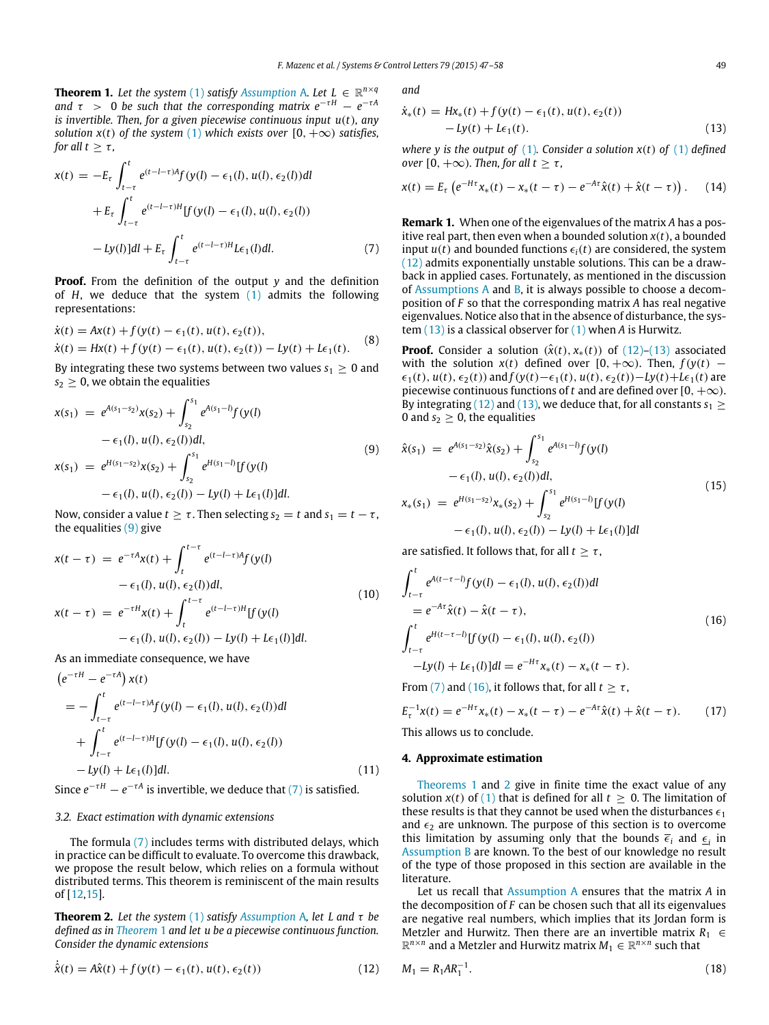<span id="page-2-3"></span>**Theorem 1.** Let the system [\(1\)](#page-1-2) satisfy [Assumption](#page-1-3) A. Let  $L \in \mathbb{R}^{n \times q}$ *and*  $\tau$  > 0 *be such that the corresponding matrix*  $e^{-\tau H} - e^{-\tau A}$ *is invertible. Then, for a given piecewise continuous input u*(*t*)*, any solution*  $x(t)$  *of the system* [\(1\)](#page-1-2) *which exists over* [0,  $+\infty$ ) *satisfies, for all t*  $>$   $\tau$ *,* 

$$
x(t) = -E_{\tau} \int_{t-\tau}^{t} e^{(t-l-\tau)A} f(y(l) - \epsilon_1(l), u(l), \epsilon_2(l)) dl
$$
  
+ 
$$
E_{\tau} \int_{t-\tau}^{t} e^{(t-l-\tau)H} [f(y(l) - \epsilon_1(l), u(l), \epsilon_2(l))
$$
  
- 
$$
-Ly(l)] dl + E_{\tau} \int_{t-\tau}^{t} e^{(t-l-\tau)H} L\epsilon_1(l) dl.
$$
 (7)

**Proof.** From the definition of the output *y* and the definition of *H*, we deduce that the system [\(1\)](#page-1-2) admits the following representations:

$$
\dot{x}(t) = Ax(t) + f(y(t) - \epsilon_1(t), u(t), \epsilon_2(t)),
$$
  
\n
$$
\dot{x}(t) = Hx(t) + f(y(t) - \epsilon_1(t), u(t), \epsilon_2(t)) - Ly(t) + L\epsilon_1(t).
$$
\n(8)

By integrating these two systems between two values  $s_1 \geq 0$  and  $s_2 \geq 0$ , we obtain the equalities

$$
x(s_1) = e^{A(s_1 - s_2)}x(s_2) + \int_{s_2}^{s_1} e^{A(s_1 - t)}f(y(t))
$$
  
\n
$$
- \epsilon_1(l), u(l), \epsilon_2(l))dl,
$$
  
\n
$$
x(s_1) = e^{H(s_1 - s_2)}x(s_2) + \int_{s_2}^{s_1} e^{H(s_1 - t)}[f(y(l) - \epsilon_1(l), u(l), \epsilon_2(l)) - ly(l) + L\epsilon_1(l)]dl.
$$
\n(9)

Now, consider a value  $t \geq \tau$ . Then selecting  $s_2 = t$  and  $s_1 = t - \tau$ , the equalities [\(9\)](#page-2-1) give

$$
x(t - \tau) = e^{-\tau A}x(t) + \int_{t}^{t-\tau} e^{(t-l-\tau)A}f(y(l)
$$
  
\n
$$
- \epsilon_1(l), u(l), \epsilon_2(l))dl,
$$
  
\n
$$
x(t - \tau) = e^{-\tau H}x(t) + \int_{t}^{t-\tau} e^{(t-l-\tau)H}[f(y(l)
$$
  
\n
$$
- \epsilon_1(l), u(l), \epsilon_2(l)) - Ly(l) + L\epsilon_1(l)]dl.
$$
\n(10)

As an immediate consequence, we have

$$
(e^{-\tau H} - e^{-\tau A}) x(t)
$$
  
= 
$$
- \int_{t-\tau}^{t} e^{(t-l-\tau)A} f(y(l) - \epsilon_1(l), u(l), \epsilon_2(l)) dl
$$
  
+ 
$$
\int_{t-\tau}^{t} e^{(t-l-\tau)H} [f(y(l) - \epsilon_1(l), u(l), \epsilon_2(l))
$$
  
- 
$$
Ly(l) + L\epsilon_1(l) ] dl.
$$
 (11)

Since  $e^{-\tau H} - e^{-\tau A}$  is invertible, we deduce that [\(7\)](#page-2-2) is satisfied.

## *3.2. Exact estimation with dynamic extensions*

The formula [\(7\)](#page-2-2) includes terms with distributed delays, which in practice can be difficult to evaluate. To overcome this drawback, we propose the result below, which relies on a formula without distributed terms. This theorem is reminiscent of the main results of [\[12,](#page-11-0)[15\]](#page-11-1).

<span id="page-2-7"></span>**Theorem 2.** *Let the system* [\(1\)](#page-1-2) *satisfy [Assumption](#page-1-3)* A*, let L and* τ *be defined as in [Theorem](#page-2-3)* 1 *and let u be a piecewise continuous function. Consider the dynamic extensions*

$$
\dot{\hat{x}}(t) = A\hat{x}(t) + f(y(t) - \epsilon_1(t), u(t), \epsilon_2(t))
$$
\n(12)

*and*

<span id="page-2-5"></span>
$$
\dot{x}_*(t) = Hx_*(t) + f(y(t) - \epsilon_1(t), u(t), \epsilon_2(t)) - Ly(t) + L\epsilon_1(t).
$$
\n(13)

*where y is the output of* [\(1\)](#page-1-2)*. Consider a solution*  $x(t)$  *of* (1) *defined over*  $[0, +\infty)$ *. Then, for all t* >  $\tau$ *,* 

<span id="page-2-9"></span>
$$
x(t) = E_{\tau} \left( e^{-H\tau} x_*(t) - x_*(t - \tau) - e^{-A\tau} \hat{x}(t) + \hat{x}(t - \tau) \right). \tag{14}
$$

<span id="page-2-2"></span>**Remark 1.** When one of the eigenvalues of the matrix *A* has a positive real part, then even when a bounded solution *x*(*t*), a bounded input  $u(t)$  and bounded functions  $\epsilon_i(t)$  are considered, the system [\(12\)](#page-2-4) admits exponentially unstable solutions. This can be a drawback in applied cases. Fortunately, as mentioned in the discussion of [Assumptions A](#page-1-3) and [B,](#page-1-5) it is always possible to choose a decomposition of *F* so that the corresponding matrix *A* has real negative eigenvalues. Notice also that in the absence of disturbance, the system [\(13\)](#page-2-5) is a classical observer for [\(1\)](#page-1-2) when *A* is Hurwitz.

**Proof.** Consider a solution  $(\hat{x}(t), x_*(t))$  of  $(12)-(13)$  $(12)-(13)$  associated with the solution  $x(t)$  defined over [0, + $\infty$ ). Then,  $f(y(t)$  –  $\epsilon_1(t)$ ,  $u(t)$ ,  $\epsilon_2(t)$ ) and  $f(y(t)-\epsilon_1(t), u(t), \epsilon_2(t))$  - Ly(t) + L $\epsilon_1(t)$  are piecewise continuous functions of *t* and are defined over  $[0, +\infty)$ . By integrating [\(12\)](#page-2-4) and [\(13\),](#page-2-5) we deduce that, for all constants  $s_1 \geq$ 0 and  $s_2 \geq 0$ , the equalities

<span id="page-2-1"></span>
$$
\hat{\mathbf{x}}(s_1) = e^{A(s_1 - s_2)}\hat{\mathbf{x}}(s_2) + \int_{s_2}^{s_1} e^{A(s_1 - l)}f(\mathbf{y}(l) - \epsilon_1(l), u(l), \epsilon_2(l))dl,
$$
\n
$$
\mathbf{x}_*(s_1) = e^{H(s_1 - s_2)}\mathbf{x}_*(s_2) + \int_{s_2}^{s_1} e^{H(s_1 - l)}[f(\mathbf{y}(l) - \epsilon_1(l), u(l), \epsilon_2(l)) - ly(l) + L\epsilon_1(l)]dl
$$
\n(15)

are satisfied. It follows that, for all  $t \geq \tau$ ,

<span id="page-2-6"></span>
$$
\int_{t-\tau}^{t} e^{A(t-\tau-l)} f(y(l) - \epsilon_1(l), u(l), \epsilon_2(l)) dl
$$
\n
$$
= e^{-A\tau} \hat{x}(t) - \hat{x}(t-\tau),
$$
\n
$$
\int_{t-\tau}^{t} e^{H(t-\tau-l)} [f(y(l) - \epsilon_1(l), u(l), \epsilon_2(l))
$$
\n
$$
-ly(l) + L\epsilon_1(l)] dl = e^{-H\tau} x_*(t) - x_*(t-\tau).
$$
\n(16)

From [\(7\)](#page-2-2) and [\(16\),](#page-2-6) it follows that, for all  $t \geq \tau$ ,

$$
E_{\tau}^{-1}x(t) = e^{-H\tau}x_*(t) - x_*(t-\tau) - e^{-A\tau}\hat{x}(t) + \hat{x}(t-\tau).
$$
 (17)

This allows us to conclude.

#### <span id="page-2-0"></span>**4. Approximate estimation**

[Theorems 1](#page-2-3) and [2](#page-2-7) give in finite time the exact value of any solution  $x(t)$  of [\(1\)](#page-1-2) that is defined for all  $t \geq 0$ . The limitation of these results is that they cannot be used when the disturbances  $\epsilon_1$ and  $\epsilon_2$  are unknown. The purpose of this section is to overcome this limitation by assuming only that the bounds  $\overline{\epsilon}_i$  and  $\underline{\epsilon}_i$  in [Assumption B](#page-1-5) are known. To the best of our knowledge no result of the type of those proposed in this section are available in the literature.

Let us recall that [Assumption A](#page-1-3) ensures that the matrix *A* in the decomposition of *F* can be chosen such that all its eigenvalues are negative real numbers, which implies that its Jordan form is Metzler and Hurwitz. Then there are an invertible matrix  $R_1 \in$  $\mathbb{R}^{n \times n}$  and a Metzler and Hurwitz matrix  $M_1 \in \mathbb{R}^{n \times n}$  such that

<span id="page-2-8"></span><span id="page-2-4"></span>
$$
M_1 = R_1 A R_1^{-1}.
$$
 (18)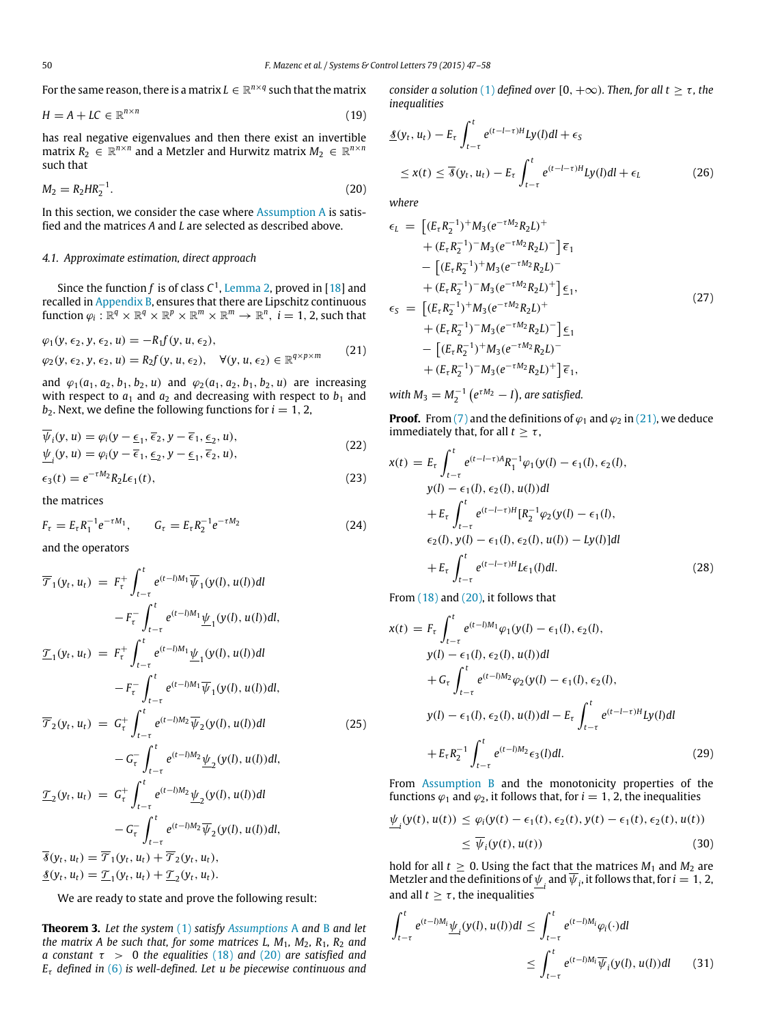For the same reason, there is a matrix  $L \in \mathbb{R}^{n \times q}$  such that the matrix

$$
H = A + LC \in \mathbb{R}^{n \times n} \tag{19}
$$

has real negative eigenvalues and then there exist an invertible  $\text{matrix } R_2 \in \mathbb{R}^{n \times n}$  and a Metzler and Hurwitz matrix  $M_2 \in \mathbb{R}^{n \times n}$ such that

$$
M_2 = R_2 H R_2^{-1}.
$$
\n(20)

In this section, we consider the case where [Assumption A](#page-1-3) is satisfied and the matrices *A* and *L* are selected as described above.

#### *4.1. Approximate estimation, direct approach*

Since the function f is of class  $C^1$ , [Lemma 2,](#page-10-8) proved in [\[18\]](#page-11-4) and recalled in [Appendix B,](#page-10-7) ensures that there are Lipschitz continuous  $\text{function } \varphi_i : \mathbb{R}^q \times \mathbb{R}^q \times \mathbb{R}^p \times \mathbb{R}^m \times \mathbb{R}^m \to \mathbb{R}^n, \ i = 1, 2, \text{such that}$ 

$$
\varphi_1(y, \epsilon_2, y, \epsilon_2, u) = -R_1 f(y, u, \epsilon_2),
$$
  
\n
$$
\varphi_2(y, \epsilon_2, y, \epsilon_2, u) = R_2 f(y, u, \epsilon_2), \quad \forall (y, u, \epsilon_2) \in \mathbb{R}^{q \times p \times m}
$$
 (21)

and  $\varphi_1(a_1, a_2, b_1, b_2, u)$  and  $\varphi_2(a_1, a_2, b_1, b_2, u)$  are increasing with respect to  $a_1$  and  $a_2$  and decreasing with respect to  $b_1$  and  $b_2$ . Next, we define the following functions for  $i = 1, 2$ .

$$
\overline{\psi}_i(y, u) = \varphi_i(y - \underline{\epsilon}_1, \overline{\epsilon}_2, y - \overline{\epsilon}_1, \underline{\epsilon}_2, u), \n\underline{\psi}_i(y, u) = \varphi_i(y - \overline{\epsilon}_1, \underline{\epsilon}_2, y - \underline{\epsilon}_1, \overline{\epsilon}_2, u),
$$
\n(22)

$$
\epsilon_3(t) = e^{-\tau M_2} R_2 L \epsilon_1(t),\tag{23}
$$

the matrices

$$
F_{\tau} = E_{\tau} R_1^{-1} e^{-\tau M_1}, \qquad G_{\tau} = E_{\tau} R_2^{-1} e^{-\tau M_2}
$$
 (24)

and the operators

$$
\overline{\mathcal{T}}_1(y_t, u_t) = F_{\tau}^+ \int_{t-\tau}^t e^{(t-l)M_1} \overline{\psi}_1(y(l), u(l)) dl \n- F_{\tau}^- \int_{t-\tau}^t e^{(t-l)M_1} \underline{\psi}_1(y(l), u(l)) dl, \n\underline{\mathcal{T}}_1(y_t, u_t) = F_{\tau}^+ \int_{t-\tau}^t e^{(t-l)M_1} \underline{\psi}_1(y(l), u(l)) dl \n- F_{\tau}^- \int_{t-\tau}^t e^{(t-l)M_1} \overline{\psi}_1(y(l), u(l)) dl, \n\overline{\mathcal{T}}_2(y_t, u_t) = G_{\tau}^+ \int_{t-\tau}^t e^{(t-l)M_2} \overline{\psi}_2(y(l), u(l)) dl \n- G_{\tau}^- \int_{t-\tau}^t e^{(t-l)M_2} \underline{\psi}_2(y(l), u(l)) dl, \n\underline{\mathcal{T}}_2(y_t, u_t) = G_{\tau}^+ \int_{t-\tau}^t e^{(t-l)M_2} \underline{\psi}_2(y(l), u(l)) dl \n- G_{\tau}^- \int_{t-\tau}^t e^{(t-l)M_2} \overline{\psi}_2(y(l), u(l)) dl, \n\overline{\mathcal{S}}(y_t, u_t) = \overline{\mathcal{T}}_1(y_t, u_t) + \overline{\mathcal{T}}_2(y_t, u_t), \n\underline{\mathcal{S}}(y_t, u_t) = \underline{\mathcal{T}}_1(y_t, u_t) + \underline{\mathcal{T}}_2(y_t, u_t).
$$

<span id="page-3-4"></span>We are ready to state and prove the following result:

**Theorem 3.** *Let the system* [\(1\)](#page-1-2) *satisfy [Assumptions](#page-1-3)* A and [B](#page-1-5) *and let the matrix A be such that, for some matrices L, M*1*, M*2*, R*1*, R*<sup>2</sup> *and a constant* τ > 0 *the equalities* [\(18\)](#page-2-8) and [\(20\)](#page-3-0) *are satisfied and E*τ *defined in* [\(6\)](#page-1-6) *is well-defined. Let u be piecewise continuous and*

*consider a solution* [\(1\)](#page-1-2) *defined over* [0,  $+\infty$ )*. Then, for all t*  $\geq \tau$ *, the inequalities*

<span id="page-3-3"></span>
$$
\underline{\mathcal{S}}(y_t, u_t) - E_\tau \int_{t-\tau}^t e^{(t-l-\tau)H} Ly(l)dl + \epsilon_S
$$
\n
$$
\leq x(t) \leq \overline{\mathcal{S}}(y_t, u_t) - E_\tau \int_{t-\tau}^t e^{(t-l-\tau)H} Ly(l)dl + \epsilon_L
$$
\n(26)

<span id="page-3-0"></span>*where*

<span id="page-3-5"></span>
$$
\epsilon_{L} = \left[ (E_{\tau} R_{2}^{-1})^{+} M_{3} (e^{-\tau M_{2}} R_{2} L)^{+} + (E_{\tau} R_{2}^{-1})^{-} M_{3} (e^{-\tau M_{2}} R_{2} L)^{-} \right] \overline{\epsilon}_{1}
$$
  
\n
$$
- \left[ (E_{\tau} R_{2}^{-1})^{+} M_{3} (e^{-\tau M_{2}} R_{2} L)^{-} + (E_{\tau} R_{2}^{-1})^{-} M_{3} (e^{-\tau M_{2}} R_{2} L)^{+} \right] \underline{\epsilon}_{1},
$$
  
\n
$$
\epsilon_{S} = \left[ (E_{\tau} R_{2}^{-1})^{+} M_{3} (e^{-\tau M_{2}} R_{2} L)^{+} + (E_{\tau} R_{2}^{-1})^{-} M_{3} (e^{-\tau M_{2}} R_{2} L)^{-} \right] \underline{\epsilon}_{1}
$$
  
\n
$$
- \left[ (E_{\tau} R_{2}^{-1})^{+} M_{3} (e^{-\tau M_{2}} R_{2} L)^{-} + (E_{\tau} R_{2}^{-1})^{-} M_{3} (e^{-\tau M_{2}} R_{2} L)^{+} \right] \overline{\epsilon}_{1},
$$
  
\n(27)

<span id="page-3-1"></span>with  $M_3 = M_2^{-1} (e^{\tau M_2} - I)$ , are satisfied.

**Proof.** From [\(7\)](#page-2-2) and the definitions of  $\varphi_1$  and  $\varphi_2$  in [\(21\),](#page-3-1) we deduce immediately that, for all  $t \geq \tau$ ,

<span id="page-3-6"></span>
$$
x(t) = E_{\tau} \int_{t-\tau}^{t} e^{(t-l-\tau)A} R_1^{-1} \varphi_1(y(l) - \epsilon_1(l), \epsilon_2(l),
$$
  
\n
$$
y(l) - \epsilon_1(l), \epsilon_2(l), u(l))dl
$$
  
\n
$$
+ E_{\tau} \int_{t-\tau}^{t} e^{(t-l-\tau)H} [R_2^{-1} \varphi_2(y(l) - \epsilon_1(l),
$$
  
\n
$$
\epsilon_2(l), y(l) - \epsilon_1(l), \epsilon_2(l), u(l)) - Ly(l)dl
$$
  
\n
$$
+ E_{\tau} \int_{t-\tau}^{t} e^{(t-l-\tau)H} L\epsilon_1(l)dl.
$$
\n(28)

From [\(18\)](#page-2-8) and [\(20\),](#page-3-0) it follows that

$$
x(t) = F_{\tau} \int_{t-\tau}^{t} e^{(t-l)M_1} \varphi_1(y(l) - \epsilon_1(l), \epsilon_2(l),
$$
  
\n
$$
y(l) - \epsilon_1(l), \epsilon_2(l), u(l))dl
$$
  
\n
$$
+ G_{\tau} \int_{t-\tau}^{t} e^{(t-l)M_2} \varphi_2(y(l) - \epsilon_1(l), \epsilon_2(l),
$$
  
\n
$$
y(l) - \epsilon_1(l), \epsilon_2(l), u(l))dl - E_{\tau} \int_{t-\tau}^{t} e^{(t-l-\tau)H} Ly(l)dl
$$
  
\n
$$
+ E_{\tau} R_2^{-1} \int_{t-\tau}^{t} e^{(t-l)M_2} \epsilon_3(l)dl.
$$
\n(29)

<span id="page-3-2"></span>From [Assumption B](#page-1-5) and the monotonicity properties of the functions  $\varphi_1$  and  $\varphi_2$ , it follows that, for  $i = 1, 2$ , the inequalities

$$
\underline{\psi}_i(y(t), u(t)) \le \varphi_i(y(t) - \epsilon_1(t), \epsilon_2(t), y(t) - \epsilon_1(t), \epsilon_2(t), u(t))
$$
\n
$$
\le \overline{\psi}_i(y(t), u(t)) \tag{30}
$$

hold for all  $t \geq 0$ . Using the fact that the matrices  $M_1$  and  $M_2$  are Metzler and the definitions of  $\underline{\psi}_i$  and  $\overline{\psi}_i$ , it follows that, for  $i = 1, 2$ , and all  $t \geq \tau$ , the inequalities

$$
\int_{t-\tau}^{t} e^{(t-\iota)M_{i}} \underline{\psi}_{i}(y(l), u(l))dl \le \int_{t-\tau}^{t} e^{(t-\iota)M_{i}} \varphi_{i}(\cdot)dl
$$
\n
$$
\le \int_{t-\tau}^{t} e^{(t-\iota)M_{i}} \overline{\psi}_{i}(y(l), u(l))dl \qquad (31)
$$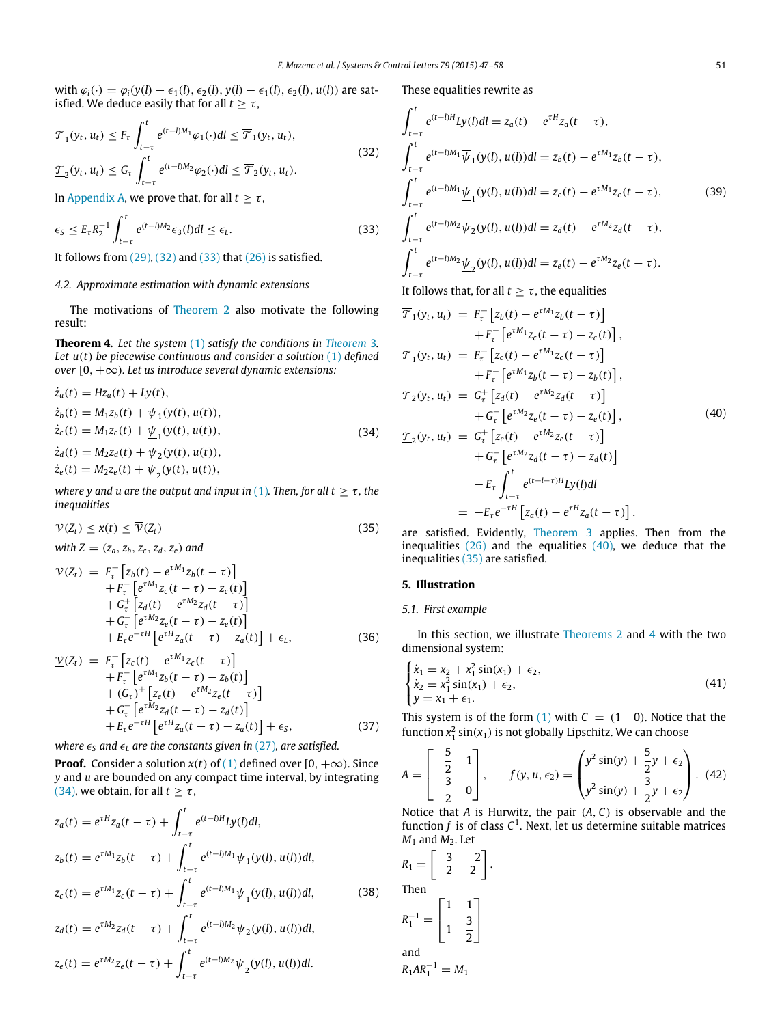with  $φ<sub>i</sub>(⋅) = φ<sub>i</sub>(y(l) − ε<sub>1</sub>(l), ε<sub>2</sub>(l), y(l) − ε<sub>1</sub>(l), ε<sub>2</sub>(l), u(l))$  are satisfied. We deduce easily that for all  $t \geq \tau$ ,

$$
\underline{\mathcal{T}}_1(y_t, u_t) \le F_\tau \int_{t-\tau}^t e^{(t-\delta)M_1} \varphi_1(\cdot) dl \le \overline{\mathcal{T}}_1(y_t, u_t),
$$
\n
$$
\underline{\mathcal{T}}_2(y_t, u_t) \le G_\tau \int_{t-\tau}^t e^{(t-\delta)M_2} \varphi_2(\cdot) dl \le \overline{\mathcal{T}}_2(y_t, u_t).
$$
\n(32)

In [Appendix A,](#page-9-0) we prove that, for all  $t \geq \tau$ ,

$$
\epsilon_{S} \le E_{\tau} R_{2}^{-1} \int_{t-\tau}^{t} e^{(t-l)M_{2}} \epsilon_{3}(l) dl \le \epsilon_{L}.
$$
\n(33)

It follows from  $(29)$ ,  $(32)$  and  $(33)$  that  $(26)$  is satisfied.

# *4.2. Approximate estimation with dynamic extensions*

The motivations of [Theorem 2](#page-2-7) also motivate the following result:

<span id="page-4-6"></span>**Theorem 4.** *Let the system* [\(1\)](#page-1-2) *satisfy the conditions in [Theorem](#page-3-4)* 3*. Let u*(*t*) *be piecewise continuous and consider a solution* [\(1\)](#page-1-2) *defined over* [0, +∞)*. Let us introduce several dynamic extensions:*

$$
\dot{z}_a(t) = Hz_a(t) + Ly(t), \n\dot{z}_b(t) = M_1z_b(t) + \overline{\psi}_1(y(t), u(t)), \n\dot{z}_c(t) = M_1z_c(t) + \underline{\psi}_1(y(t), u(t)), \n\dot{z}_d(t) = M_2z_d(t) + \overline{\psi}_2(y(t), u(t)), \n\dot{z}_e(t) = M_2z_e(t) + \underline{\psi}_2(y(t), u(t)),
$$
\n(34)

*where y and u are the output and input in* [\(1\)](#page-1-2). Then, for all  $t \geq \tau$ , the *inequalities*

$$
\underline{\mathcal{V}}(Z_t) \leq x(t) \leq \overline{\mathcal{V}}(Z_t) \tag{35}
$$

*with*  $Z = (z_a, z_b, z_c, z_d, z_e)$  *and* 

$$
\overline{\mathcal{V}}(Z_t) = F_{\tau}^+ \left[ z_b(t) - e^{\tau M_1} z_b(t - \tau) \right] \n+ F_{\tau}^- \left[ e^{\tau M_1} z_c(t - \tau) - z_c(t) \right] \n+ G_{\tau}^+ \left[ z_d(t) - e^{\tau M_2} z_d(t - \tau) \right] \n+ G_{\tau}^- \left[ e^{\tau M_2} z_e(t - \tau) - z_e(t) \right] \n+ E_{\tau} e^{-\tau H} \left[ e^{\tau H} z_a(t - \tau) - z_a(t) \right] + \epsilon_L,
$$
\n(36)

$$
\underline{\mathcal{V}}(Z_t) = F_{\tau}^+ \left[ z_c(t) - e^{\tau M_1} z_c(t - \tau) \right] \n+ F_{\tau}^- \left[ e^{\tau M_1} z_b(t - \tau) - z_b(t) \right] \n+ (G_{\tau})^+ \left[ z_e(t) - e^{\tau M_2} z_e(t - \tau) \right] \n+ G_{\tau}^- \left[ e^{\tau M_2} z_d(t - \tau) - z_d(t) \right] \n+ F_{\tau} e^{-\tau H} \left[ e^{\tau H} z_a(t - \tau) - z_a(t) \right] + \epsilon_s,
$$
\n(37)

*where*  $\epsilon_s$  *and*  $\epsilon_l$  *are the constants given in* [\(27\)](#page-3-5)*, are satisfied.* 

**Proof.** Consider a solution  $x(t)$  of [\(1\)](#page-1-2) defined over [0,  $+\infty$ ). Since *y* and *u* are bounded on any compact time interval, by integrating [\(34\),](#page-4-3) we obtain, for all  $t \geq \tau$ ,

$$
z_a(t) = e^{\tau H} z_a(t - \tau) + \int_{t-\tau}^t e^{(t-\tau)H} L y(l) dl,
$$
  
\n
$$
z_b(t) = e^{\tau M_1} z_b(t - \tau) + \int_{t-\tau}^t e^{(t-\tau)M_1} \overline{\psi}_1(y(l), u(l)) dl,
$$
  
\n
$$
z_c(t) = e^{\tau M_1} z_c(t - \tau) + \int_{t-\tau}^t e^{(t-\tau)M_1} \underline{\psi}_1(y(l), u(l)) dl,
$$
\n(38)

$$
z_d(t) = e^{\tau M_2} z_d(t - \tau) + \int_{t-\tau}^t e^{(t-\tau)M_2} \overline{\psi}_2(y(t), u(t)) dt,
$$
  

$$
z_e(t) = e^{\tau M_2} z_e(t - \tau) + \int_{t-\tau}^t e^{(t-\tau)M_2} \underline{\psi}_2(y(t), u(t)) dt.
$$

These equalities rewrite as

<span id="page-4-1"></span>
$$
\int_{t-\tau}^{t} e^{(t-l)H}Ly(l)dl = z_a(t) - e^{\tau H}z_a(t-\tau),
$$
\n
$$
\int_{t-\tau}^{t} e^{(t-l)M_1} \overline{\psi}_1(y(l), u(l))dl = z_b(t) - e^{\tau M_1}z_b(t-\tau),
$$
\n
$$
\int_{t-\tau}^{t} e^{(t-l)M_1} \underline{\psi}_1(y(l), u(l))dl = z_c(t) - e^{\tau M_1}z_c(t-\tau),
$$
\n
$$
\int_{t-\tau}^{t} e^{(t-l)M_2} \overline{\psi}_2(y(l), u(l))dl = z_d(t) - e^{\tau M_2}z_d(t-\tau),
$$
\n
$$
\int_{t-\tau}^{t} e^{(t-l)M_2} \underline{\psi}_2(y(l), u(l))dl = z_e(t) - e^{\tau M_2}z_e(t-\tau).
$$
\n(39)

<span id="page-4-4"></span><span id="page-4-2"></span>It follows that, for all  $t > \tau$ , the equalities

<span id="page-4-3"></span>
$$
\overline{\mathcal{T}}_1(y_t, u_t) = F_{\tau}^+ [z_b(t) - e^{\tau M_1} z_b(t - \tau)] \n+ F_{\tau}^- [e^{\tau M_1} z_c(t - \tau) - z_c(t)], \n\underline{\mathcal{T}}_1(y_t, u_t) = F_{\tau}^+ [z_c(t) - e^{\tau M_1} z_c(t - \tau)] \n+ F_{\tau}^- [e^{\tau M_1} z_b(t - \tau) - z_b(t)], \n\overline{\mathcal{T}}_2(y_t, u_t) = G_{\tau}^+ [z_d(t) - e^{\tau M_2} z_d(t - \tau)] \n+ G_{\tau}^- [e^{\tau M_2} z_e(t - \tau) - z_e(t)], \n\underline{\mathcal{T}}_2(y_t, u_t) = G_{\tau}^+ [z_e(t) - e^{\tau M_2} z_e(t - \tau)] \n+ G_{\tau}^- [e^{\tau M_2} z_d(t - \tau) - z_d(t)] \n- E_{\tau} \int_{t - \tau}^t e^{(t - l - \tau)H} I y(l) dl \n= - E_{\tau} e^{-\tau H} [z_a(t) - e^{\tau H} z_a(t - \tau)].
$$
\n(40)

<span id="page-4-5"></span>are satisfied. Evidently, [Theorem 3](#page-3-4) applies. Then from the inequalities  $(26)$  and the equalities  $(40)$ , we deduce that the inequalities [\(35\)](#page-4-5) are satisfied.

#### <span id="page-4-0"></span>**5. Illustration**

## *5.1. First example*

In this section, we illustrate [Theorems 2](#page-2-7) and [4](#page-4-6) with the two dimensional system:

$$
\begin{cases}\n\dot{x}_1 = x_2 + x_1^2 \sin(x_1) + \epsilon_2, \\
\dot{x}_2 = x_1^2 \sin(x_1) + \epsilon_2, \\
y = x_1 + \epsilon_1.\n\end{cases}
$$
\n(41)

This system is of the form  $(1)$  with  $C = (1 \ 0)$ . Notice that the function  $x_1^2 \sin(x_1)$  is not globally Lipschitz. We can choose

$$
A = \begin{bmatrix} -\frac{5}{2} & 1 \\ -\frac{3}{2} & 0 \end{bmatrix}, \qquad f(y, u, \epsilon_2) = \begin{pmatrix} y^2 \sin(y) + \frac{5}{2}y + \epsilon_2 \\ y^2 \sin(y) + \frac{3}{2}y + \epsilon_2 \end{pmatrix}. \tag{42}
$$

Notice that *A* is Hurwitz, the pair (*A*, *C*) is observable and the function  $f$  is of class  $C^1$ . Next, let us determine suitable matrices  $M_1$  and  $M_2$ . Let

$$
R_1 = \begin{bmatrix} 3 & -2 \\ -2 & 2 \end{bmatrix}
$$
  
Then  

$$
R_1^{-1} = \begin{bmatrix} 1 & 1 \\ 1 & \frac{3}{2} \end{bmatrix}
$$
  
and

<span id="page-4-7"></span>.

 $R_1AR_1^{-1} = M_1$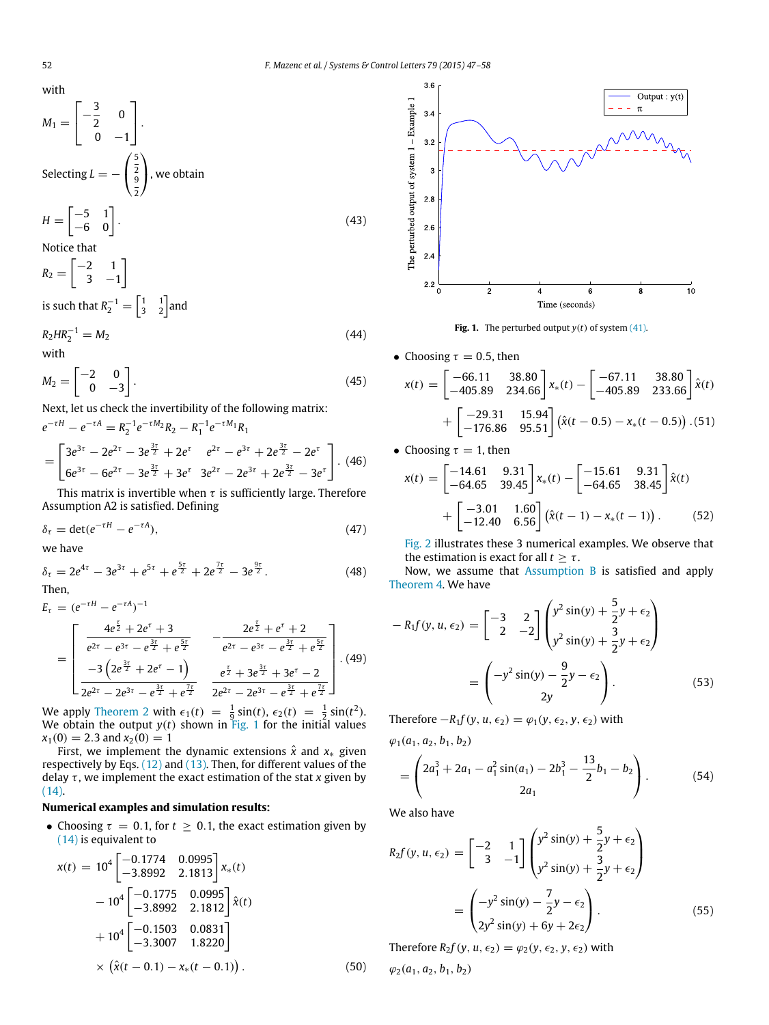with

$$
M_1 = \begin{bmatrix} -\frac{3}{2} & 0 \\ 0 & -1 \end{bmatrix}.
$$
  
\nSelecting  $L = -\begin{pmatrix} \frac{5}{2} \\ \frac{9}{2} \end{pmatrix}$ , we obtain  
\n
$$
H = \begin{bmatrix} -5 & 1 \\ -6 & 0 \end{bmatrix}.
$$
  
\nNotice that  
\n
$$
R_2 = \begin{bmatrix} -2 & 1 \\ 3 & -1 \end{bmatrix}
$$
 (43)

is such that  $R_2^{-1} = \begin{bmatrix} 1 & 1 \\ 3 & 2 \end{bmatrix}$  and

$$
R_2 H R_2^{-1} = M_2 \tag{44}
$$
  
with

$$
M_2 = \begin{bmatrix} -2 & 0 \\ 0 & -3 \end{bmatrix}.
$$
 (45)

Next, let us check the invertibility of the following matrix:

$$
e^{-\tau H} - e^{-\tau A} = R_2^{-1} e^{-\tau M_2} R_2 - R_1^{-1} e^{-\tau M_1} R_1
$$
  
= 
$$
\begin{bmatrix} 3e^{3\tau} - 2e^{2\tau} - 3e^{\frac{3\tau}{2}} + 2e^{\tau} & e^{2\tau} - e^{3\tau} + 2e^{\frac{3\tau}{2}} - 2e^{\tau} \\ 6e^{3\tau} - 6e^{2\tau} - 3e^{\frac{3\tau}{2}} + 3e^{\tau} & 3e^{2\tau} - 2e^{3\tau} + 2e^{\frac{3\tau}{2}} - 3e^{\tau} \end{bmatrix} . (46)
$$

This matrix is invertible when  $\tau$  is sufficiently large. Therefore Assumption A2 is satisfied. Defining

$$
\delta_{\tau} = \det(e^{-\tau H} - e^{-\tau A}),\tag{47}
$$

we have

$$
\delta_{\tau} = 2e^{4\tau} - 3e^{3\tau} + e^{5\tau} + e^{\frac{5\tau}{2}} + 2e^{\frac{7\tau}{2}} - 3e^{\frac{9\tau}{2}}.
$$
 (48)

Then,

$$
E_{\tau} = (e^{-\tau H} - e^{-\tau A})^{-1}
$$
\n
$$
= \begin{bmatrix}\n\frac{4e^{\frac{\tau}{2}} + 2e^{\tau} + 3}{e^{2\tau} - e^{3\tau} - e^{\frac{3\tau}{2}} + e^{\frac{5\tau}{2}}} & -\frac{2e^{\frac{\tau}{2}} + e^{\tau} + 2}{e^{2\tau} - e^{3\tau} - e^{\frac{3\tau}{2}} + e^{\frac{5\tau}{2}}}\n\end{bmatrix} \cdot (49)
$$
\n
$$
= \begin{bmatrix}\n\frac{-3\left(2e^{\frac{3\tau}{2}} + 2e^{\tau} - 1\right)}{2e^{2\tau} - 2e^{3\tau} - e^{\frac{3\tau}{2}} + e^{\frac{7\tau}{2}}}\n\end{bmatrix} \cdot (49)
$$

We apply [Theorem 2](#page-2-7) with  $\epsilon_1(t) = \frac{1}{9} \sin(t)$ ,  $\epsilon_2(t) = \frac{1}{2} \sin(t^2)$ . We obtain the output *y*(*t*) shown in [Fig. 1](#page-5-0) for the initial values  $x_1(0) = 2.3$  and  $x_2(0) = 1$ 

First, we implement the dynamic extensions  $\hat{x}$  and  $x_*$  given respectively by Eqs. [\(12\)](#page-2-4) and [\(13\).](#page-2-5) Then, for different values of the delay  $\tau$ , we implement the exact estimation of the stat  $x$  given by [\(14\).](#page-2-9)

## **Numerical examples and simulation results:**

• Choosing  $\tau = 0.1$ , for  $t \ge 0.1$ , the exact estimation given by [\(14\)](#page-2-9) is equivalent to

$$
x(t) = 104 \begin{bmatrix} -0.1774 & 0.0995 \\ -3.8992 & 2.1813 \end{bmatrix} x_*(t)
$$
  
- 10<sup>4</sup> \begin{bmatrix} -0.1775 & 0.0995 \\ -3.8992 & 2.1812 \end{bmatrix} \hat{x}(t)  
+ 10<sup>4</sup> \begin{bmatrix} -0.1503 & 0.0831 \\ -3.3007 & 1.8220 \end{bmatrix}  
× (\hat{x}(t - 0.1) - x\_\*(t - 0.1)). (50)

<span id="page-5-0"></span>

**Fig. 1.** The perturbed output  $y(t)$  of system [\(41\).](#page-4-7)

• Choosing  $\tau = 0.5$ , then

$$
x(t) = \begin{bmatrix} -66.11 & 38.80 \\ -405.89 & 234.66 \end{bmatrix} x_*(t) - \begin{bmatrix} -67.11 & 38.80 \\ -405.89 & 233.66 \end{bmatrix} \hat{x}(t) + \begin{bmatrix} -29.31 & 15.94 \\ -176.86 & 95.51 \end{bmatrix} (\hat{x}(t - 0.5) - x_*(t - 0.5)) . (51)
$$

• Choosing  $\tau = 1$ , then

$$
x(t) = \begin{bmatrix} -14.61 & 9.31 \\ -64.65 & 39.45 \end{bmatrix} x_*(t) - \begin{bmatrix} -15.61 & 9.31 \\ -64.65 & 38.45 \end{bmatrix} \hat{x}(t) + \begin{bmatrix} -3.01 & 1.60 \\ -12.40 & 6.56 \end{bmatrix} (\hat{x}(t-1) - x_*(t-1)).
$$
 (52)

[Fig. 2](#page-6-0) illustrates these 3 numerical examples. We observe that the estimation is exact for all  $t > \tau$ .

Now, we assume that [Assumption B](#page-1-5) is satisfied and apply [Theorem 4.](#page-4-6) We have

$$
-R_1 f(y, u, \epsilon_2) = \begin{bmatrix} -3 & 2 \\ 2 & -2 \end{bmatrix} \begin{pmatrix} y^2 \sin(y) + \frac{5}{2}y + \epsilon_2 \\ y^2 \sin(y) + \frac{3}{2}y + \epsilon_2 \end{pmatrix}
$$

$$
= \begin{pmatrix} -y^2 \sin(y) - \frac{9}{2}y - \epsilon_2 \\ 2y \end{pmatrix}.
$$
(53)

Therefore  $-R_1f(y, u, \epsilon_2) = \varphi_1(y, \epsilon_2, y, \epsilon_2)$  with

 $\varphi_1(a_1, a_2, b_1, b_2)$ 

$$
= \begin{pmatrix} 2a_1^3 + 2a_1 - a_1^2 \sin(a_1) - 2b_1^3 - \frac{13}{2}b_1 - b_2 \\ 2a_1 \end{pmatrix}.
$$
 (54)

We also have

$$
R_2 f(y, u, \epsilon_2) = \begin{bmatrix} -2 & 1 \\ 3 & -1 \end{bmatrix} \begin{pmatrix} y^2 \sin(y) + \frac{5}{2}y + \epsilon_2 \\ y^2 \sin(y) + \frac{3}{2}y + \epsilon_2 \end{pmatrix}
$$
  
= 
$$
\begin{pmatrix} -y^2 \sin(y) - \frac{7}{2}y - \epsilon_2 \\ 2y^2 \sin(y) + 6y + 2\epsilon_2 \end{pmatrix}.
$$
 (55)

Therefore  $R_2 f(y, u, \epsilon_2) = \varphi_2(y, \epsilon_2, y, \epsilon_2)$  with  $\varphi_2(a_1, a_2, b_1, b_2)$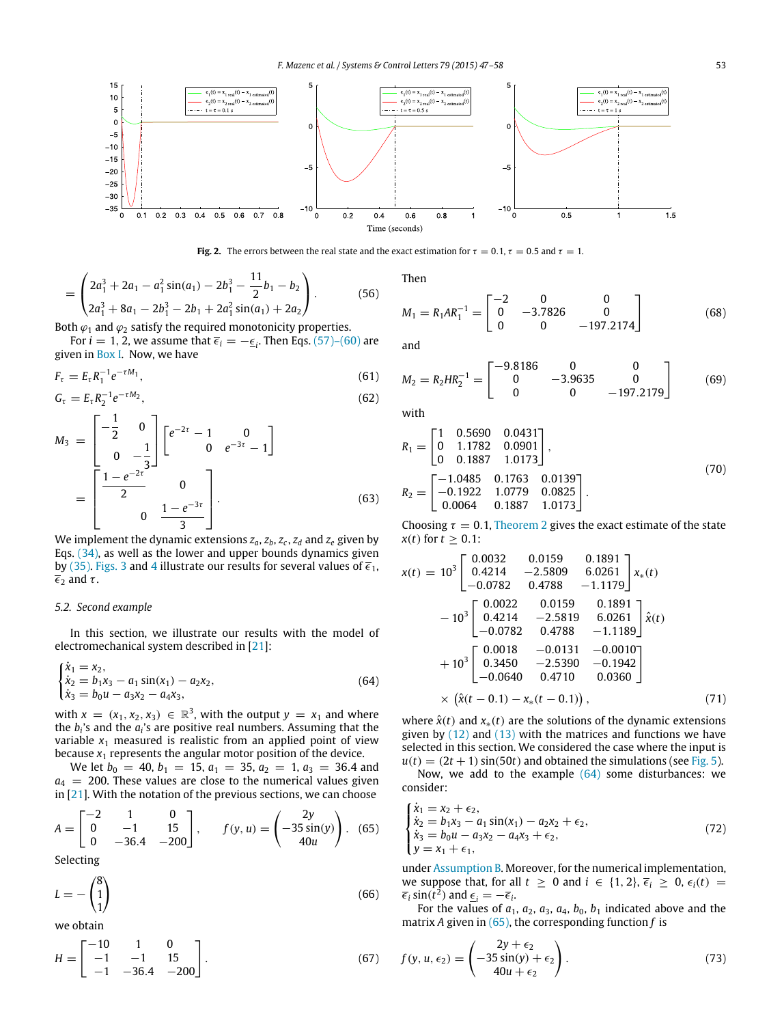<span id="page-6-0"></span>

**Fig. 2.** The errors between the real state and the exact estimation for  $\tau = 0.1$ ,  $\tau = 0.5$  and  $\tau = 1$ .

$$
= \begin{pmatrix} 2a_1^3 + 2a_1 - a_1^2 \sin(a_1) - 2b_1^3 - \frac{11}{2}b_1 - b_2 \\ 2a_1^3 + 8a_1 - 2b_1^3 - 2b_1 + 2a_1^2 \sin(a_1) + 2a_2 \end{pmatrix}.
$$
 (56)

Both  $\varphi_1$  and  $\varphi_2$  satisfy the required monotonicity properties.

For  $i = 1, 2$ , we assume that  $\overline{\epsilon}_i = -\overline{\epsilon}_i$ . Then Eqs. [\(57\)–\(60\)](#page-7-0) are given in [Box I.](#page-7-1) Now, we have

$$
F_{\tau} = E_{\tau} R_1^{-1} e^{-\tau M_1}, \tag{61}
$$

$$
G_{\tau} = E_{\tau} R_2^{-1} e^{-\tau M_2}, \tag{62}
$$

$$
M_3 = \begin{bmatrix} -\frac{1}{2} & 0 \\ 0 & -\frac{1}{3} \end{bmatrix} \begin{bmatrix} e^{-2\tau} - 1 & 0 \\ 0 & e^{-3\tau} - 1 \end{bmatrix}
$$

$$
= \begin{bmatrix} \frac{1 - e^{-2\tau}}{2} & 0 \\ 0 & \frac{1 - e^{-3\tau}}{3} \end{bmatrix}.
$$
(63)

We implement the dynamic extensions  $z_a$ ,  $z_b$ ,  $z_c$ ,  $z_d$  and  $z_e$  given by Eqs. [\(34\),](#page-4-3) as well as the lower and upper bounds dynamics given by [\(35\).](#page-4-5) [Figs. 3](#page-7-2) and [4](#page-7-3) illustrate our results for several values of  $\overline{\epsilon}_1$ ,  $\overline{\epsilon}_2$  and  $\tau$ .

#### *5.2. Second example*

In this section, we illustrate our results with the model of electromechanical system described in [\[21\]](#page-11-7):

$$
\begin{cases}\n\dot{x}_1 = x_2, \\
\dot{x}_2 = b_1 x_3 - a_1 \sin(x_1) - a_2 x_2, \\
\dot{x}_3 = b_0 u - a_3 x_2 - a_4 x_3,\n\end{cases}
$$
\n(64)

with  $x = (x_1, x_2, x_3) \in \mathbb{R}^3$ , with the output  $y = x_1$  and where the *b<sup>i</sup>* 's and the *a<sup>i</sup>* 's are positive real numbers. Assuming that the variable  $x_1$  measured is realistic from an applied point of view because  $x_1$  represents the angular motor position of the device.

We let  $b_0 = 40$ ,  $b_1 = 15$ ,  $a_1 = 35$ ,  $a_2 = 1$ ,  $a_3 = 36.4$  and  $a_4$  = 200. These values are close to the numerical values given in  $[21]$ . With the notation of the previous sections, we can choose

$$
A = \begin{bmatrix} -2 & 1 & 0 \\ 0 & -1 & 15 \\ 0 & -36.4 & -200 \end{bmatrix}, \qquad f(y, u) = \begin{pmatrix} 2y \\ -35\sin(y) \\ 40u \end{pmatrix}. \tag{65}
$$

Selecting

$$
L = -\begin{pmatrix} 8\\1\\1 \end{pmatrix} \tag{66}
$$

we obtain

$$
H = \begin{bmatrix} -10 & 1 & 0 \\ -1 & -1 & 15 \\ -1 & -36.4 & -200 \end{bmatrix}.
$$
 (67)

Then

$$
M_1 = R_1 A R_1^{-1} = \begin{bmatrix} -2 & 0 & 0 \\ 0 & -3.7826 & 0 \\ 0 & 0 & -197.2174 \end{bmatrix}
$$
 (68)

and

$$
M_2 = R_2 H R_2^{-1} = \begin{bmatrix} -9.8186 & 0 & 0 \\ 0 & -3.9635 & 0 \\ 0 & 0 & -197.2179 \end{bmatrix}
$$
 (69)

with

$$
R_1 = \begin{bmatrix} 1 & 0.5690 & 0.0431 \\ 0 & 1.1782 & 0.0901 \\ 0 & 0.1887 & 1.0173 \end{bmatrix},
$$
  
\n
$$
R_2 = \begin{bmatrix} -1.0485 & 0.1763 & 0.0139 \\ -0.1922 & 1.0779 & 0.0825 \\ 0.0064 & 0.1887 & 1.0173 \end{bmatrix}.
$$
 (70)

Choosing  $\tau = 0.1$ , [Theorem 2](#page-2-7) gives the exact estimate of the state *x*(*t*) for  $t \geq 0.1$ :

$$
x(t) = 10^{3} \begin{bmatrix} 0.0032 & 0.0159 & 0.1891 \\ 0.4214 & -2.5809 & 6.0261 \\ -0.0782 & 0.4788 & -1.1179 \end{bmatrix} x_{*}(t)
$$
  

$$
-10^{3} \begin{bmatrix} 0.0022 & 0.0159 & 0.1891 \\ 0.4214 & -2.5819 & 6.0261 \\ -0.0782 & 0.4788 & -1.1189 \end{bmatrix} \hat{x}(t)
$$
  

$$
+10^{3} \begin{bmatrix} 0.0018 & -0.0131 & -0.0010 \\ 0.3450 & -2.5390 & -0.1942 \\ -0.0640 & 0.4710 & 0.0360 \end{bmatrix}
$$
  

$$
\times (\hat{x}(t - 0.1) - x_{*}(t - 0.1)), \qquad (71)
$$

<span id="page-6-1"></span>where  $\hat{x}(t)$  and  $x_*(t)$  are the solutions of the dynamic extensions given by  $(12)$  and  $(13)$  with the matrices and functions we have selected in this section. We considered the case where the input is  $u(t) = (2t + 1) \sin(50t)$  and obtained the simulations (see [Fig. 5\)](#page-7-4).

Now, we add to the example  $(64)$  some disturbances: we consider:

<span id="page-6-2"></span>
$$
\begin{cases}\n\dot{x}_1 = x_2 + \epsilon_2, \\
\dot{x}_2 = b_1 x_3 - a_1 \sin(x_1) - a_2 x_2 + \epsilon_2, \\
\dot{x}_3 = b_0 u - a_3 x_2 - a_4 x_3 + \epsilon_2, \\
y = x_1 + \epsilon_1,\n\end{cases}
$$
\n(72)

under [Assumption B.](#page-1-5) Moreover, for the numerical implementation, we suppose that, for all  $t \ge 0$  and  $i \in \{1, 2\}, \overline{\epsilon}_i \ge 0, \epsilon_i(t) =$  $\overline{\epsilon}_i$  sin( $t^2$ ) and  $\underline{\epsilon}_i = -\overline{\epsilon}_i$ .

For the values of  $a_1$ ,  $a_2$ ,  $a_3$ ,  $a_4$ ,  $b_0$ ,  $b_1$  indicated above and the matrix *A* given in [\(65\),](#page-6-2) the corresponding function *f* is

$$
f(y, u, \epsilon_2) = \begin{pmatrix} 2y + \epsilon_2 \\ -35\sin(y) + \epsilon_2 \\ 40u + \epsilon_2 \end{pmatrix}.
$$
 (73)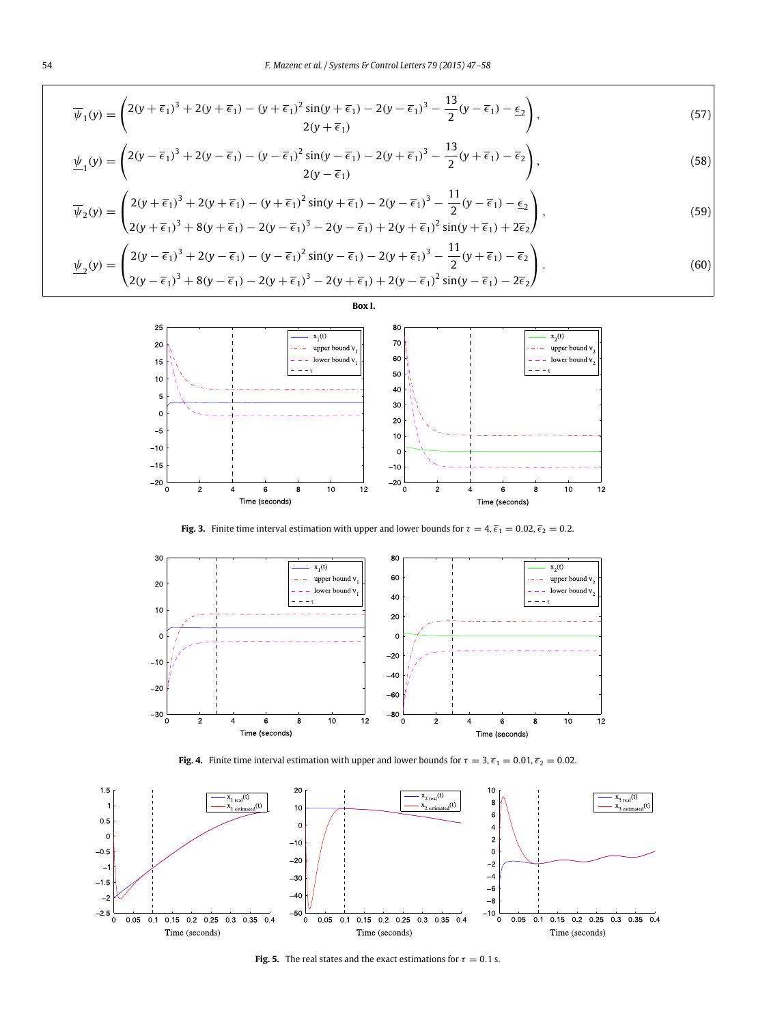<span id="page-7-1"></span>
$$
\overline{\psi}_1(y) = \begin{pmatrix} 2(y + \overline{\epsilon}_1)^3 + 2(y + \overline{\epsilon}_1) - (y + \overline{\epsilon}_1)^2 \sin(y + \overline{\epsilon}_1) - 2(y - \overline{\epsilon}_1)^3 - \frac{13}{2}(y - \overline{\epsilon}_1) - \underline{\epsilon}_2 \\ 2(y + \overline{\epsilon}_1) \end{pmatrix},\tag{57}
$$

$$
\underline{\psi}_1(y) = \begin{pmatrix} 2(y - \overline{\epsilon}_1)^3 + 2(y - \overline{\epsilon}_1) - (y - \overline{\epsilon}_1)^2 \sin(y - \overline{\epsilon}_1) - 2(y + \overline{\epsilon}_1)^3 - \frac{13}{2}(y + \overline{\epsilon}_1) - \overline{\epsilon}_2 \\ 2(y - \overline{\epsilon}_1) \end{pmatrix},\tag{58}
$$

$$
\overline{\psi}_2(y) = \begin{pmatrix} 2(y + \overline{\epsilon}_1)^3 + 2(y + \overline{\epsilon}_1) - (y + \overline{\epsilon}_1)^2 \sin(y + \overline{\epsilon}_1) - 2(y - \overline{\epsilon}_1)^3 - \frac{11}{2}(y - \overline{\epsilon}_1) - \underline{\epsilon}_2 \\ 2(y + \overline{\epsilon}_1)^3 + 8(y + \overline{\epsilon}_1) - 2(y - \overline{\epsilon}_1)^3 - 2(y - \overline{\epsilon}_1) + 2(y + \overline{\epsilon}_1)^2 \sin(y + \overline{\epsilon}_1) + 2\overline{\epsilon}_2 \end{pmatrix},
$$
\n(59)

<span id="page-7-2"></span>
$$
\underline{\psi}_2(y) = \begin{pmatrix} 2(y - \overline{\epsilon}_1)^3 + 2(y - \overline{\epsilon}_1) - (y - \overline{\epsilon}_1)^2 \sin(y - \overline{\epsilon}_1) - 2(y + \overline{\epsilon}_1)^3 - \frac{11}{2}(y + \overline{\epsilon}_1) - \overline{\epsilon}_2 \\ 2(y - \overline{\epsilon}_1)^3 + 8(y - \overline{\epsilon}_1) - 2(y + \overline{\epsilon}_1)^3 - 2(y + \overline{\epsilon}_1) + 2(y - \overline{\epsilon}_1)^2 \sin(y - \overline{\epsilon}_1) - 2\overline{\epsilon}_2 \end{pmatrix} . \tag{60}
$$

<span id="page-7-0"></span>

**Fig. 3.** Finite time interval estimation with upper and lower bounds for  $\tau = 4$ ,  $\bar{\epsilon}_1 = 0.02$ ,  $\bar{\epsilon}_2 = 0.2$ .

<span id="page-7-3"></span>



<span id="page-7-4"></span>

**Fig. 5.** The real states and the exact estimations for  $\tau = 0.1$  s.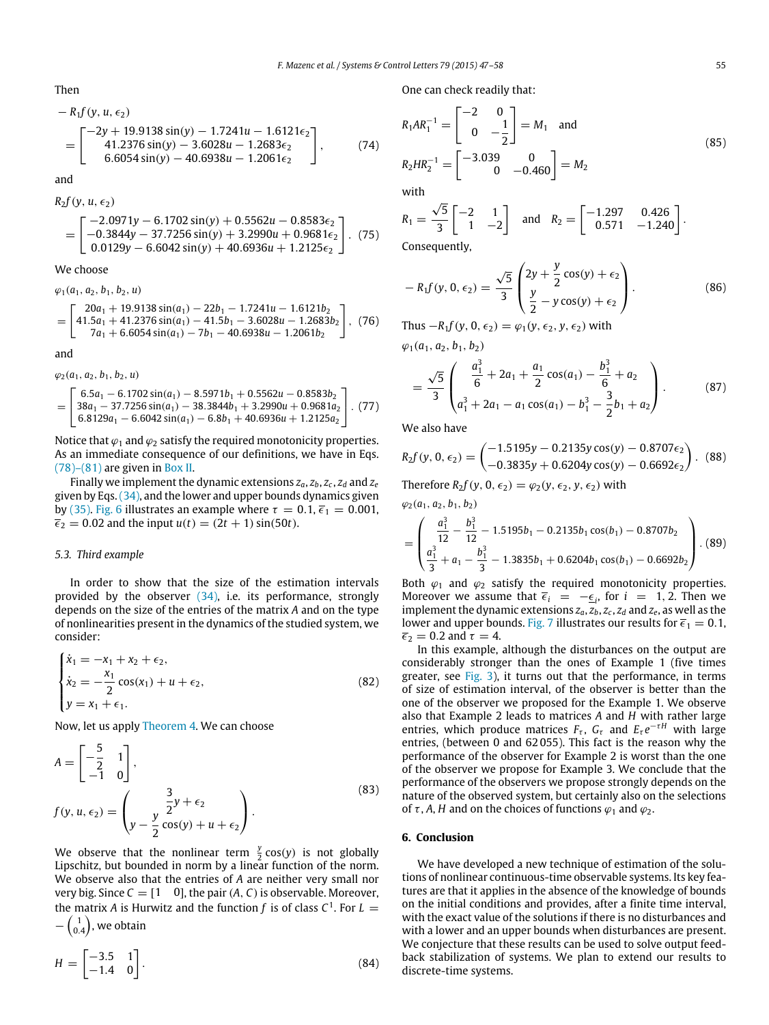Then

$$
- R_1 f(y, u, \epsilon_2)
$$
  
= 
$$
\begin{bmatrix} -2y + 19.9138 \sin(y) - 1.7241u - 1.6121\epsilon_2 \\ 41.2376 \sin(y) - 3.6028u - 1.2683\epsilon_2 \\ 6.6054 \sin(y) - 40.6938u - 1.2061\epsilon_2 \end{bmatrix}
$$
, (74)

and

$$
R_2f(y, u, \epsilon_2)
$$
  
= 
$$
\begin{bmatrix} -2.0971y - 6.1702 \sin(y) + 0.5562u - 0.8583\epsilon_2 \\ -0.3844y - 37.7256 \sin(y) + 3.2990u + 0.9681\epsilon_2 \\ 0.0129y - 6.6042 \sin(y) + 40.6936u + 1.2125\epsilon_2 \end{bmatrix}
$$
. (75)

We choose

 $\varphi_2(a_1, a_2, b_1, b_2, u)$ 

$$
\varphi_1(a_1, a_2, b_1, b_2, u)
$$
\n
$$
= \begin{bmatrix}\n20a_1 + 19.9138 \sin(a_1) - 22b_1 - 1.7241u - 1.6121b_2 \\
41.5a_1 + 41.2376 \sin(a_1) - 41.5b_1 - 3.6028u - 1.2683b_2 \\
7a_1 + 6.6054 \sin(a_1) - 7b_1 - 40.6938u - 1.2061b_2\n\end{bmatrix}, (76)
$$

and

$$
= \begin{bmatrix} 6.5a_1 - 6.1702\sin(a_1) - 8.5971b_1 + 0.5562u - 0.8583b_2 \\ 38a_1 - 37.7256\sin(a_1) - 38.3844b_1 + 3.2990u + 0.9681a_2 \\ 6.8129a_1 - 6.6042\sin(a_1) - 6.8b_1 + 40.6936u + 1.2125a_2 \end{bmatrix} . (77)
$$

Notice that  $\varphi_1$  and  $\varphi_2$  satisfy the required monotonicity properties. As an immediate consequence of our definitions, we have in Eqs.  $(78)$ – $(81)$  are given in [Box II.](#page-9-2)

Finally we implement the dynamic extensions  $z_a$ ,  $z_b$ ,  $z_c$ ,  $z_d$  and  $z_e$ given by Eqs.[\(34\),](#page-4-3) and the lower and upper bounds dynamics given by [\(35\).](#page-4-5) [Fig. 6](#page-9-3) illustrates an example where  $\tau = 0.1$ ,  $\bar{\epsilon}_1 = 0.001$ ,  $\bar{\epsilon}_2 = 0.02$  and the input  $u(t) = (2t + 1) \sin(50t)$ .

#### *5.3. Third example*

In order to show that the size of the estimation intervals provided by the observer [\(34\),](#page-4-3) i.e. its performance, strongly depends on the size of the entries of the matrix *A* and on the type of nonlinearities present in the dynamics of the studied system, we consider:

$$
\begin{cases}\n\dot{x}_1 = -x_1 + x_2 + \epsilon_2, \\
\dot{x}_2 = -\frac{x_1}{2}\cos(x_1) + u + \epsilon_2, \\
y = x_1 + \epsilon_1.\n\end{cases}
$$
\n(82)

Now, let us apply [Theorem 4.](#page-4-6) We can choose

$$
A = \begin{bmatrix} -\frac{5}{2} & 1 \\ -1 & 0 \end{bmatrix},
$$
  
\n
$$
f(y, u, \epsilon_2) = \begin{pmatrix} \frac{3}{2}y + \epsilon_2 \\ y - \frac{y}{2}\cos(y) + u + \epsilon_2 \end{pmatrix}.
$$
\n(83)

We observe that the nonlinear term  $\frac{y}{2}$  cos(*y*) is not globally Lipschitz, but bounded in norm by a linear function of the norm. We observe also that the entries of *A* are neither very small nor very big. Since  $C = [1 \ 0]$ , the pair  $(A, C)$  is observable. Moreover, the matrix *A* is Hurwitz and the function *f* is of class  $C^1$ . For  $L =$  $-\left(\begin{smallmatrix} 1\ 0.4 \end{smallmatrix}\right)$ , we obtain

$$
H = \begin{bmatrix} -3.5 & 1 \\ -1.4 & 0 \end{bmatrix}.
$$
 (84)

One can check readily that:

$$
R_1AR_1^{-1} = \begin{bmatrix} -2 & 0 \\ 0 & -\frac{1}{2} \end{bmatrix} = M_1 \text{ and}
$$
  
\n
$$
R_2HR_2^{-1} = \begin{bmatrix} -3.039 & 0 \\ 0 & -0.460 \end{bmatrix} = M_2
$$
 (85)

with

$$
R_1 = \frac{\sqrt{5}}{3} \begin{bmatrix} -2 & 1 \\ 1 & -2 \end{bmatrix} \text{ and } R_2 = \begin{bmatrix} -1.297 & 0.426 \\ 0.571 & -1.240 \end{bmatrix}.
$$

Consequently,

$$
-R_1f(y, 0, \epsilon_2) = \frac{\sqrt{5}}{3} \begin{pmatrix} 2y + \frac{y}{2}\cos(y) + \epsilon_2 \\ \frac{y}{2} - y\cos(y) + \epsilon_2 \end{pmatrix}.
$$
 (86)

Thus  $-R_1 f(y, 0, \epsilon_2) = \varphi_1(y, \epsilon_2, y, \epsilon_2)$  with  $\varphi_1(a_1, a_2, b_1, b_2)$ 

$$
= \frac{\sqrt{5}}{3} \begin{pmatrix} \frac{a_1^3}{6} + 2a_1 + \frac{a_1}{2} \cos(a_1) - \frac{b_1^3}{6} + a_2\\ a_1^3 + 2a_1 - a_1 \cos(a_1) - b_1^3 - \frac{3}{2}b_1 + a_2 \end{pmatrix}.
$$
 (87)

We also have

$$
R_2 f(y, 0, \epsilon_2) = \begin{pmatrix} -1.5195y - 0.2135y \cos(y) - 0.8707\epsilon_2 \\ -0.3835y + 0.6204y \cos(y) - 0.6692\epsilon_2 \end{pmatrix}.
$$
 (88)

Therefore 
$$
R_2f(y, 0, \epsilon_2) = \varphi_2(y, \epsilon_2, y, \epsilon_2)
$$
 with

$$
\varphi_2(a_1, a_2, b_1, b_2)
$$
\n
$$
= \left( \frac{a_1^3}{12} - \frac{b_1^3}{12} - 1.5195b_1 - 0.2135b_1 \cos(b_1) - 0.8707b_2 \frac{a_1^3}{3} + a_1 - \frac{b_1^3}{3} - 1.3835b_1 + 0.6204b_1 \cos(b_1) - 0.6692b_2 \right).
$$
\n(89)

Both  $\varphi_1$  and  $\varphi_2$  satisfy the required monotonicity properties. Moreover we assume that  $\overline{\epsilon}_i = -\epsilon_i$ , for  $i = 1, 2$ . Then we implement the dynamic extensions  $z_a$ ,  $z_b$ ,  $z_c$ ,  $z_d$  and  $z_e$ , as well as the lower and upper bounds. [Fig. 7](#page-10-9) illustrates our results for  $\bar{\epsilon}_1 = 0.1$ ,  $\overline{\epsilon}_2 = 0.2$  and  $\tau = 4$ .

In this example, although the disturbances on the output are considerably stronger than the ones of Example 1 (five times greater, see [Fig. 3\)](#page-7-2), it turns out that the performance, in terms of size of estimation interval, of the observer is better than the one of the observer we proposed for the Example 1. We observe also that Example 2 leads to matrices *A* and *H* with rather large entries, which produce matrices  $F_{\tau}$ ,  $G_{\tau}$  and  $E_{\tau}e^{-\tau H}$  with large entries, (between 0 and 62 055). This fact is the reason why the performance of the observer for Example 2 is worst than the one of the observer we propose for Example 3. We conclude that the performance of the observers we propose strongly depends on the nature of the observed system, but certainly also on the selections of  $\tau$ , *A*, *H* and on the choices of functions  $\varphi_1$  and  $\varphi_2$ .

#### <span id="page-8-0"></span>**6. Conclusion**

We have developed a new technique of estimation of the solutions of nonlinear continuous-time observable systems. Its key features are that it applies in the absence of the knowledge of bounds on the initial conditions and provides, after a finite time interval, with the exact value of the solutions if there is no disturbances and with a lower and an upper bounds when disturbances are present. We conjecture that these results can be used to solve output feedback stabilization of systems. We plan to extend our results to discrete-time systems.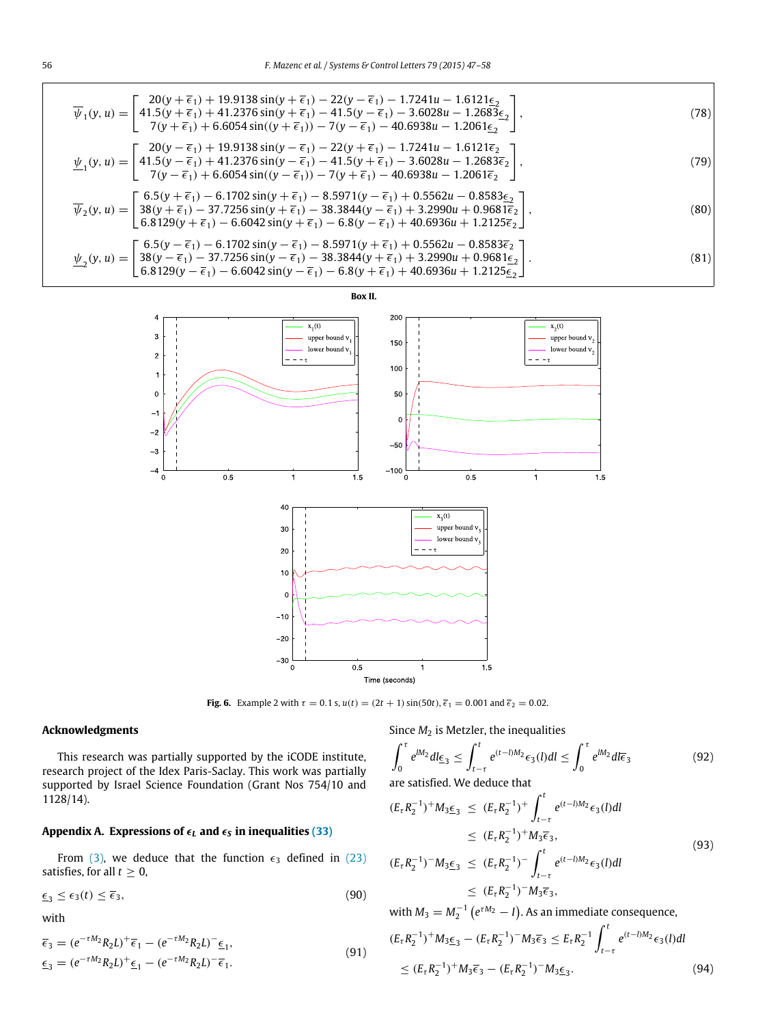<span id="page-9-2"></span>
$$
\overline{\psi}_{1}(y, u) = \begin{bmatrix}\n20(y + \overline{\epsilon}_{1}) + 19.9138 \sin(y + \overline{\epsilon}_{1}) - 22(y - \overline{\epsilon}_{1}) - 1.7241u - 1.6121\underline{\epsilon}_{2} \\
41.5(y + \overline{\epsilon}_{1}) + 41.2376 \sin(y + \overline{\epsilon}_{1}) - 41.5(y - \overline{\epsilon}_{1}) - 3.6028u - 1.2683\underline{\epsilon}_{2}\n\end{bmatrix},
$$
\n(78)  
\n
$$
\psi_{1}(y, u) = \begin{bmatrix}\n20(y - \overline{\epsilon}_{1}) + 19.9138 \sin(y - \overline{\epsilon}_{1}) - 2(y - \overline{\epsilon}_{1}) - 40.6938u - 1.2061\underline{\epsilon}_{2} \\
41.5(y - \overline{\epsilon}_{1}) + 19.9138 \sin(y - \overline{\epsilon}_{1}) - 22(y + \overline{\epsilon}_{1}) - 1.7241u - 1.6121\overline{\epsilon}_{2}\n\end{bmatrix},
$$
\n(79)  
\n
$$
\psi_{1}(y, u) = \begin{bmatrix}\n20(y - \overline{\epsilon}_{1}) + 19.9138 \sin(y - \overline{\epsilon}_{1}) - 22(y + \overline{\epsilon}_{1}) - 1.7241u - 1.6121\overline{\epsilon}_{2} \\
41.5(y - \overline{\epsilon}_{1}) + 41.2376 \sin(y - \overline{\epsilon}_{1}) - 41.5(y + \overline{\epsilon}_{1}) - 3.6028u - 1.2683\overline{\epsilon}_{2}\n\end{bmatrix},
$$
\n(79)  
\n
$$
\overline{\psi}_{2}(y, u) = \begin{bmatrix}\n6.5(y + \overline{\epsilon}_{1}) - 6.1702 \sin(y + \overline{\epsilon}_{1}) - 8.5971(y - \overline{\epsilon}_{1}) + 0.5562u - 0.8583\underline{\epsilon}_{2} \\
38(y + \overline{\epsilon}_{1}) - 37.7256 \sin(y + \overline{\epsilon}_{1}) - 38.3844(y - \overline{\epsilon}_{1}) + 3.2990u + 0.9681\overline{\epsilon}_{2}\n\end{bmatrix},
$$
\n(80)  
\n

<span id="page-9-1"></span>

<span id="page-9-3"></span>

**Fig. 6.** Example 2 with  $\tau = 0.1$  s,  $u(t) = (2t + 1) \sin(50t)$ ,  $\bar{\epsilon}_1 = 0.001$  and  $\bar{\epsilon}_2 = 0.02$ .

# **Acknowledgments**

This research was partially supported by the iCODE institute, research project of the Idex Paris-Saclay. This work was partially supported by Israel Science Foundation (Grant Nos 754/10 and 1128/14).

# <span id="page-9-0"></span>Appendix A. Expressions of  $\epsilon_L$  and  $\epsilon_S$  in inequalities [\(33\)](#page-4-2)

From [\(3\),](#page-1-7) we deduce that the function  $\epsilon_3$  defined in [\(23\)](#page-3-6) satisfies, for all  $t \geq 0$ ,

$$
\underline{\epsilon}_3 \le \epsilon_3(t) \le \overline{\epsilon}_3,\tag{90}
$$

with

$$
\begin{aligned} \overline{\epsilon}_3 &= (e^{-\tau M_2} R_2 L)^+ \overline{\epsilon}_1 - (e^{-\tau M_2} R_2 L)^- \underline{\epsilon}_1, \\ \underline{\epsilon}_3 &= (e^{-\tau M_2} R_2 L)^+ \underline{\epsilon}_1 - (e^{-\tau M_2} R_2 L)^- \overline{\epsilon}_1. \end{aligned} \tag{91}
$$

Since  $M_2$  is Metzler, the inequalities

$$
\int_0^{\tau} e^{lM_2} dl \underline{\epsilon}_3 \le \int_{t-\tau}^t e^{(t-l)M_2} \epsilon_3(l) dl \le \int_0^{\tau} e^{lM_2} dl \overline{\epsilon}_3
$$
\nare satisfied. We deduce that

are satisfied. We deduce that

$$
(E_{\tau}R_{2}^{-1})^{+}M_{3}\underline{\epsilon}_{3} \leq (E_{\tau}R_{2}^{-1})^{+} \int_{t-\tau}^{t} e^{(t-l)M_{2}} \epsilon_{3}(l)dl
$$
  
\n
$$
\leq (E_{\tau}R_{2}^{-1})^{+}M_{3}\overline{\epsilon}_{3},
$$
  
\n
$$
(E_{\tau}R_{2}^{-1})^{-}M_{3}\underline{\epsilon}_{3} \leq (E_{\tau}R_{2}^{-1})^{-} \int_{t-\tau}^{t} e^{(t-l)M_{2}} \epsilon_{3}(l)dl
$$
  
\n
$$
\leq (E_{\tau}R_{2}^{-1})^{-}M_{3}\overline{\epsilon}_{3},
$$
\n(93)

with  $M_3 = M_2^{-1} (e^{\tau M_2} - I)$ . As an immediate consequence,

$$
(E_{\tau}R_2^{-1})^+M_3 \underline{\epsilon}_3 - (E_{\tau}R_2^{-1})^-M_3 \overline{\epsilon}_3 \le E_{\tau}R_2^{-1} \int_{t-\tau}^t e^{(t-l)M_2} \epsilon_3(l)dl
$$
  
 
$$
\le (E_{\tau}R_2^{-1})^+M_3 \overline{\epsilon}_3 - (E_{\tau}R_2^{-1})^-M_3 \underline{\epsilon}_3.
$$
 (94)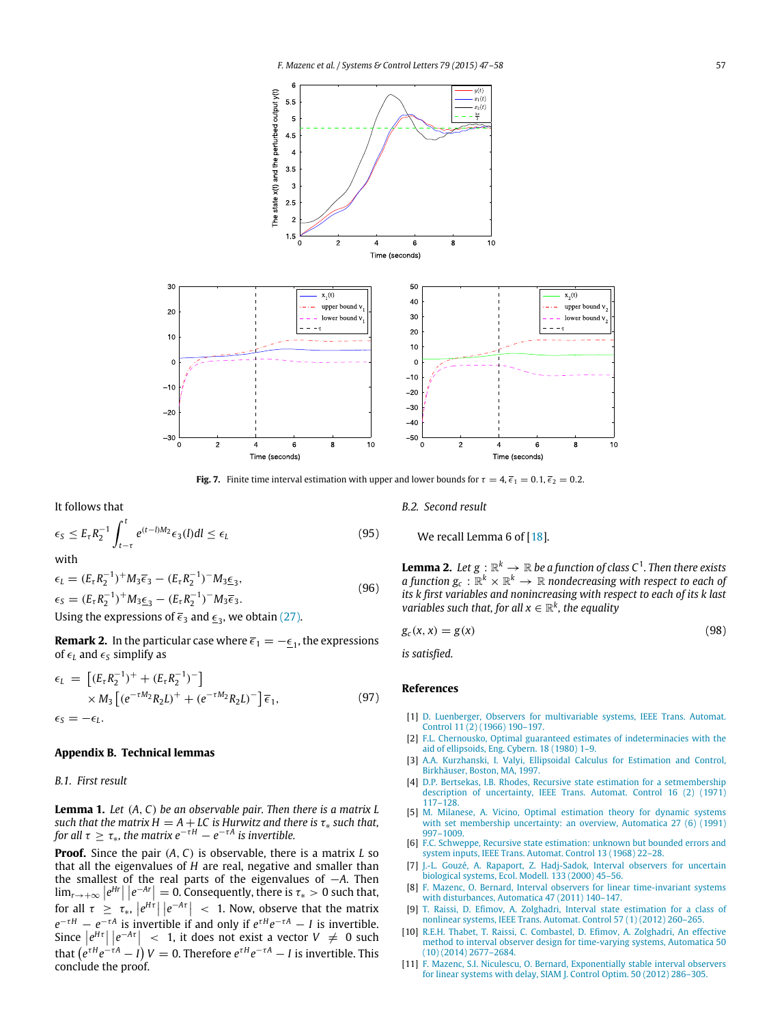<span id="page-10-9"></span>

**Fig. 7.** Finite time interval estimation with upper and lower bounds for  $\tau = 4$ ,  $\bar{\epsilon}_1 = 0.1$ ,  $\bar{\epsilon}_2 = 0.2$ .

It follows that

$$
\epsilon_{\rm S} \le E_{\tau} R_2^{-1} \int_{t-\tau}^t e^{(t-\ell)M_2} \epsilon_3(l) dl \le \epsilon_l \tag{95}
$$

with

$$
\epsilon_L = (E_{\tau} R_2^{-1})^+ M_3 \overline{\epsilon}_3 - (E_{\tau} R_2^{-1})^- M_3 \underline{\epsilon}_3,
$$
  
\n
$$
\epsilon_S = (E_{\tau} R_2^{-1})^+ M_3 \underline{\epsilon}_3 - (E_{\tau} R_2^{-1})^- M_3 \overline{\epsilon}_3.
$$
  
\nUsing the expressions of  $\overline{\epsilon}_3$  and  $\underline{\epsilon}_3$ , we obtain (27).

**Remark 2.** In the particular case where  $\overline{\epsilon}_1 = -\underline{\epsilon}_1$ , the expressions of  $\epsilon$ <sup>L</sup> and  $\epsilon$ <sup>S</sup> simplify as

$$
\epsilon_L = \left[ (E_{\tau} R_2^{-1})^+ + (E_{\tau} R_2^{-1})^- \right] \times M_3 \left[ (e^{-\tau M_2} R_2 L)^+ + (e^{-\tau M_2} R_2 L)^- \right] \overline{\epsilon}_1,
$$
\n(97)

#### <span id="page-10-7"></span>**Appendix B. Technical lemmas**

#### *B.1. First result*

**Lemma 1.** *Let* (*A*, *C*) *be an observable pair. Then there is a matrix L such that the matrix H* =  $A + LC$  *is Hurwitz and there is*  $\tau_*$  *such that, for all*  $\tau \geq \tau_*$ *, the matrix*  $e^{-\tau H} - e^{-\tau A}$  *is invertible.* 

**Proof.** Since the pair (*A*, *C*) is observable, there is a matrix *L* so that all the eigenvalues of *H* are real, negative and smaller than the smallest of the real parts of the eigenvalues of −*A*. Then  $\lim_{r\to+\infty} |e^{Hr}| |e^{-Ar}| = 0.$  Consequently, there is  $\tau_* > 0$  such that,  $\lim_{\tau \to +\infty} \left| e \right| = e$  = 0. Consequently, there is  $t_* > 0$  such that,<br>for all  $\tau \ge \tau_*$ ,  $\left| e^{H\tau} \right| \left| e^{-A\tau} \right| < 1$ . Now, observe that the matrix  $e^{-\tau H} - e^{-\tau A}$  is invertible if and only if  $e^{\tau H}e^{-\tau A} - I$  is invertible. Since  $\left| e^{H\tau} \right| \left| e^{-A\tau} \right|$  < 1, it does not exist a vector  $V \neq 0$  such that  $(e^{\tau H}e^{-\tau A}-I)$   $V=0$ . Therefore  $e^{\tau H}e^{-\tau A}-I$  is invertible. This conclude the proof.

*B.2. Second result*

<span id="page-10-8"></span>We recall Lemma 6 of [\[18\]](#page-11-4).

**Lemma 2.** Let  $g : \mathbb{R}^k \to \mathbb{R}$  be a function of class  $C^1$ . Then there exists *a function*  $g_c$  :  $\mathbb{R}^k \times \mathbb{R}^k \to \mathbb{R}$  *nondecreasing with respect to each of its k first variables and nonincreasing with respect to each of its k last variables such that, for all*  $x \in \mathbb{R}^k$ *, the equality* 

$$
g_c(x, x) = g(x) \tag{98}
$$

*is satisfied.*

#### **References**

- <span id="page-10-0"></span>[1] D. [Luenberger, Observers for multivariable systems, IEEE Trans. Automat.](http://refhub.elsevier.com/S0167-6911(15)00064-X/sbref1) Control 11 (2) (1966) 190–197.
- <span id="page-10-1"></span>[2] F.L. [Chernousko, Optimal guaranteed estimates of indeterminacies with the](http://refhub.elsevier.com/S0167-6911(15)00064-X/sbref2) aid of ellipsoids, Eng. Cybern. 18 (1980) 1–9.
- <span id="page-10-2"></span>[3] A.A[. Kurzhanski, I. Valyi, Ellipsoidal Calculus for Estimation and Control,](http://refhub.elsevier.com/S0167-6911(15)00064-X/sbref3) Birkhäuser, Boston, MA, 1997.
- <span id="page-10-3"></span>[4] D.P[. Bertsekas, I.B. Rhodes, Recursive state estimation for a setmembership](http://refhub.elsevier.com/S0167-6911(15)00064-X/sbref4) description of uncertainty, IEEE Trans. Automat. Control 16 (2) (1971) 117–128.
- <span id="page-10-4"></span>[5] M. [Milanese, A. Vicino, Optimal estimation theory for dynamic systems](http://refhub.elsevier.com/S0167-6911(15)00064-X/sbref5) with set membership uncertainty: an overview, Automatica 27 (6) (1991) 997–1009.
- <span id="page-10-5"></span>[6] F.C. [Schweppe, Recursive state estimation: unknown but bounded errors and](http://refhub.elsevier.com/S0167-6911(15)00064-X/sbref6) system inputs, IEEE Trans. Automat. Control 13 (1968) 22–28.
- <span id="page-10-6"></span>[7] J.-L[. Gouzé, A. Rapaport, Z. Hadj-Sadok, Interval observers for uncertain](http://refhub.elsevier.com/S0167-6911(15)00064-X/sbref7) biological systems, Ecol. Modell. 133 (2000) 45–56.
- [8] F. [Mazenc, O. Bernard, Interval observers for linear time-invariant systems](http://refhub.elsevier.com/S0167-6911(15)00064-X/sbref8) with disturbances, Automatica 47 (2011) 140–147.
- [9] T. [Raissi, D. Efimov, A. Zolghadri, Interval state estimation for a class of](http://refhub.elsevier.com/S0167-6911(15)00064-X/sbref9) nonlinear systems, IEEE Trans. Automat. Control 57 (1) (2012) 260–265.
- [10] R.E[.H. Thabet, T. Raissi, C. Combastel, D. Efimov, A. Zolghadri, An effective](http://refhub.elsevier.com/S0167-6911(15)00064-X/sbref10) method to interval observer design for time-varying systems, Automatica 50 (10) (2014) 2677–2684.
- [11] F. [Mazenc, S.I. Niculescu, O. Bernard, Exponentially stable interval observers](http://refhub.elsevier.com/S0167-6911(15)00064-X/sbref11) for linear systems with delay, SIAM J. Control Optim. 50 (2012) 286–305.